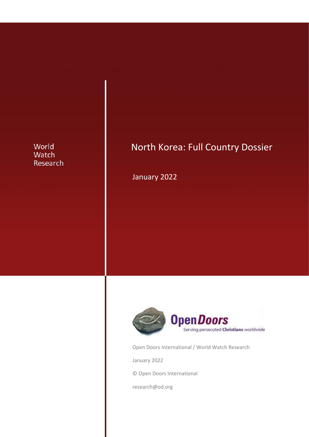## World Watch Research

# North Korea: Full Country Dossier

January 2022



Open Doors International / World Watch Research

January 2022

© Open Doors International

research@od.org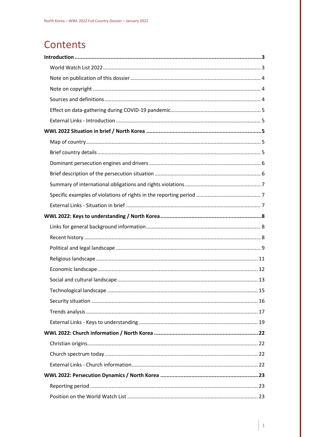# Contents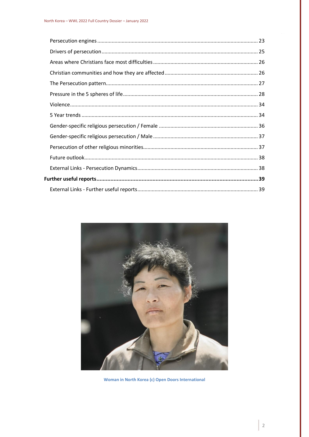

Woman in North Korea (c) Open Doors International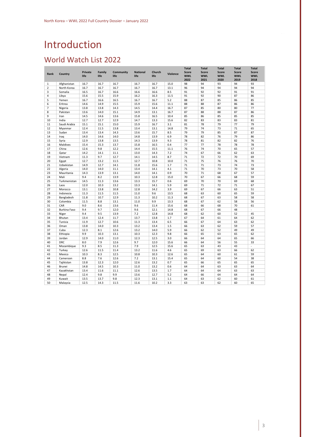# <span id="page-3-0"></span>Introduction

# <span id="page-3-1"></span>World Watch List 2022

| Rank           | Country      | <b>Private</b><br>life | Family<br>life | Community<br>life | <b>National</b><br>life | Church<br>life | <b>Violence</b> | <b>Total</b><br><b>Score</b><br><b>WWL</b> | <b>Total</b><br><b>Score</b><br><b>WWL</b> | <b>Total</b><br><b>Score</b><br><b>WWL</b> | <b>Total</b><br><b>Score</b><br><b>WWL</b> | <b>Total</b><br><b>Score</b><br><b>WWL</b> |
|----------------|--------------|------------------------|----------------|-------------------|-------------------------|----------------|-----------------|--------------------------------------------|--------------------------------------------|--------------------------------------------|--------------------------------------------|--------------------------------------------|
|                |              |                        |                |                   |                         |                |                 | 2022                                       | 2021                                       | 2020                                       | 2019                                       | 2018                                       |
| 1              | Afghanistan  | 16.7                   | 16.7           | 16.7              | 16.7                    | 16.7           | 15.0            | 98                                         | 94                                         | 93                                         | 94                                         | 93                                         |
| $\overline{2}$ | North Korea  | 16.7                   | 16.7           | 16.7              | 16.7                    | 16.7           | 13.1            | 96                                         | 94                                         | 94                                         | 94                                         | 94                                         |
| 3              | Somalia      | 16.5                   | 16.7           | 16.6              | 16.6                    | 16.6           | 8.5             | 91                                         | 92                                         | 92                                         | 91                                         | 91                                         |
| 4              | Libya        | 15.6                   | 15.5           | 15.9              | 16.2                    | 16.3           | 11.5            | 91                                         | 92                                         | 90                                         | 87                                         | 86                                         |
| 5              | Yemen        | 16.7                   | 16.6           | 16.5              | 16.7                    | 16.7           | 5.2             | 88                                         | 87                                         | 85                                         | 86                                         | 85                                         |
| 6              | Eritrea      | 14.6                   | 14.9           | 15.5              | 15.9                    | 15.6           | 11.1            | 88                                         | 88                                         | 87                                         | 86                                         | 86                                         |
| 7              | Nigeria      | 13.8                   | 13.8           | 14.3              | 14.5                    | 14.4           | 16.7            | 87                                         | 85                                         | 80                                         | 80                                         | 77                                         |
| 8              | Pakistan     | 13.6                   | 14.0           | 15.1              | 14.9                    | 13.1           | 16.7            | 87                                         | 88                                         | 88                                         | 87                                         | 86                                         |
| 9              | Iran         | 14.5                   | 14.6           | 13.6              | 15.8                    | 16.5           | 10.4            | 85                                         | 86                                         | 85                                         | 85                                         | 85                                         |
| 10             | India        | 12.7                   | 12.7           | 12.9              | 14.7                    | 13.3           | 15.6            | 82                                         | 83                                         | 83                                         | 83                                         | 81                                         |
| 11             | Saudi Arabia | 15.1                   | 15.1           | 15.0              | 15.9                    | 16.7           | 3.1             | 81                                         | 78                                         | 79                                         | 77                                         | 79                                         |
| 12             | Myanmar      | 12.4                   | 11.5           | 13.8              | 13.4                    | 13.1           | 14.8            | 79                                         | 74                                         | 73                                         | 71                                         | 65                                         |
| 13             | Sudan        | 13.4                   | 13.4           | 14.3              | 13.6                    | 15.7           | 8.5             | 79                                         | 79                                         | 85                                         | 87                                         | 87                                         |
| 14             | Iraq         | 14.0                   | 14.6           | 14.0              | 14.8                    | 13.9           | 6.9             | 78                                         | 82                                         | 76                                         | 79                                         | 86                                         |
| 15             | Syria        | 12.9                   | 13.8           | 13.5              | 14.3                    | 13.9           | 9.3             | 78                                         | 81                                         | 82                                         | 82                                         | 76                                         |
| 16             | Maldives     | 15.4                   | 15.3           | 13.7              | 15.8                    | 16.5           | 0.4             | 77                                         | 77                                         | 78                                         | 78                                         | 78                                         |
| 17             | China        | 12.6                   | 9.8            | 12.2              | 14.4                    | 15.5           | 11.1            | 76                                         | 74                                         | 70                                         | 65                                         | 57                                         |
| 18             | Qatar        | 14.2                   | 14.1           | 11.1              | 13.0                    | 14.3           | 7.2             | 74                                         | 67                                         | 66                                         | 62                                         | 63                                         |
| 19             | Vietnam      | 11.3                   | 9.7            | 12.7              | 14.1                    | 14.5           | 8.7             | 71                                         | 72                                         | 72                                         | 70                                         | 69                                         |
| 20             | Egypt        | 12.7                   | 13.2           | 11.5              | 12.7                    | 10.8           | 10.0            | 71                                         | 75                                         | 76                                         | 76                                         | 70                                         |
| 21             | Uzbekistan   | 14.9                   | 12.7           | 14.1              | 11.8                    | 15.6           | 1.7             | 71                                         | 71                                         | 73                                         | 74                                         | 73                                         |
| 22             | Algeria      | 14.0                   | 14.0           | 11.1              | 13.4                    | 14.1           | 4.1             | 71                                         | 70                                         | 73                                         | 70                                         | 58                                         |
| 23             | Mauritania   | 14.3                   | 13.9           | 13.1              | 14.0                    | 14.1           | 0.9             | 70                                         | 71                                         | 68                                         | 67                                         | 57                                         |
| 24             | Mali         | 9.4                    | 8.2            | 13.9              | 10.3                    | 12.8           | 15.0            | 70                                         | 67                                         | 66                                         | 68                                         | 59                                         |
| 25             | Turkmenistan | 14.5                   | 11.3           | 13.6              | 13.3                    | 15.7           | 0.6             | 69                                         | 70                                         | 70                                         | 69                                         | 68                                         |
| 26             | Laos         | 12.0                   | 10.3           | 13.2              | 13.3                    | 14.1           | 5.9             | 69                                         | 71                                         | 72                                         | 71                                         | 67                                         |
| 27             | Morocco      | 13.1                   | 13.8           | 10.8              | 12.8                    | 14.2           | 3.9             | 69                                         | 67                                         | 66                                         | 63                                         | 51                                         |
| 28             | Indonesia    | 11.3                   | 11.5           | 11.5              | 11.0                    | 9.6            | 13.5            | 68                                         | 63                                         | 60                                         | 65                                         | 59                                         |
| 29             | Bangladesh   | 11.8                   | 10.7           | 12.9              | 11.3                    | 10.2           | 11.3            | 68                                         | 67                                         | 63                                         | 58                                         | 58                                         |
| 30             | Colombia     | 11.5                   | 8.8            | 13.1              | 11.0                    | 9.9            | 13.3            | 68                                         | 67                                         | 62                                         | 58                                         | 56                                         |
| 31             | CAR          | 9.0                    | 8.6            | 13.6              | 9.6                     | 11.4           | 15.6            | 68                                         | 66                                         | 68                                         | 70                                         | 61                                         |
| 32             | Burkina Faso | 9.4                    | 9.7            | 12.0              | 9.6                     | 12.1           | 14.8            | 68                                         | 67                                         | 66                                         | 48                                         | ×,                                         |
| 33             | Niger        | 9.4                    | 9.5            | 13.9              | 7.2                     | 12.8           | 14.8            | 68                                         | 62                                         | 60                                         | 52                                         | 45                                         |
| 34             | Bhutan       | 13.4                   | 12.4           | 11.7              | 13.7                    | 13.8           | 1.7             | 67                                         | 64                                         | 61                                         | 64                                         | 62                                         |
| 35             | Tunisia      | 11.9                   | 12.7           | 10.6              | 11.3                    | 13.4           | 6.5             | 66                                         | 67                                         | 64                                         | 63                                         | 62                                         |
| 36             | Oman         | 13.8                   | 14.0           | 10.3              | 13.2                    | 13.4           | 1.5             | 66                                         | 63                                         | 62                                         | 59                                         | 57                                         |
| 37             | Cuba         | 12.3                   | 8.1            | 12.6              | 13.2                    | 14.0           | 5.9             | 66                                         | 62                                         | 52                                         | 49                                         | 49                                         |
| 38             | Ethiopia     | 9.9                    | 10.3           | 13.1              | 10.3                    | 12.3           | 9.8             | 66                                         | 65                                         | 63                                         | 65                                         | 62                                         |
| 39             | Jordan       | 12.9                   | 14.0           | 11.0              | 12.3                    | 12.5           | 3.0             | 66                                         | 64                                         | 64                                         | 65                                         | 66                                         |
| 40             | <b>DRC</b>   | 8.0                    | 7.9            | 12.6              | 9.7                     | 12.0           | 15.6            | 66                                         | 64                                         | 56                                         | 55                                         | 33                                         |
| 41             | Mozambique   | 9.3                    | 8.5            | 11.3              | 7.9                     | 12.5           | 15.6            | 65                                         | 63                                         | 43                                         | 43                                         | ä,                                         |
| 42             | Turkey       | 12.6                   | 11.5           | 11.4              | 13.2                    | 11.6           | 4.6             | 65                                         | 69                                         | 63                                         | 66                                         | 62                                         |
| 43             | Mexico       | 10.3                   | 8.3            | 12.5              | 10.8                    | 10.3           | 12.6            | 65                                         | 64                                         | 60                                         | 61                                         | 59                                         |
| 44             | Cameroon     | 8.8                    | 7.6            | 12.6              | 7.2                     | 13.1           | 15.4            | 65                                         | 64                                         | 60                                         | 54                                         | 38                                         |
| 45             | Tajikistan   | 13.8                   | 12.3           | 12.0              | 12.6                    | 13.2           | 0.7             | 65                                         | 66                                         | 65                                         | 65                                         | 65                                         |
| 46             | Brunei       | 14.8                   | 14.5           | 10.3              | 11.0                    | 13.2           | 0.6             | 64                                         | 64                                         | 63                                         | 63                                         | 64                                         |
| 47             | Kazakhstan   | 13.4                   | 11.6           | 11.1              | 12.6                    | 13.5           | 1.7             | 64                                         | 64                                         | 64                                         | 63                                         | 63                                         |
| 48             | Nepal        | 12.4                   | 9.8            | 9.9               | 13.6                    | 12.7           | 5.2             | 64                                         | 66                                         | 64                                         | 64                                         | 64                                         |
| 49             | Kuwait       | 13.5                   | 13.7           | 9.8               | 12.3                    | 13.1           | 1.1             | 64                                         | 63                                         | 62                                         | 60                                         | 61                                         |
| 50             | Malaysia     | 12.5                   | 14.3           | 11.5              | 11.6                    | 10.2           | 3.3             | 63                                         | 63                                         | 62                                         | 60                                         | 65                                         |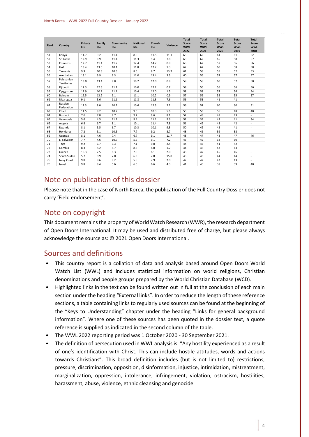| Rank | Country                    | <b>Private</b><br>life | Family<br>life | Community<br>life | <b>National</b><br>life | Church<br>life | Violence | <b>Total</b><br><b>Score</b><br><b>WWL</b><br>2022 | <b>Total</b><br><b>Score</b><br><b>WWL</b><br>2021 | <b>Total</b><br><b>Score</b><br><b>WWL</b><br>2020 | <b>Total</b><br><b>Score</b><br><b>WWL</b><br>2019 | <b>Total</b><br><b>Score</b><br><b>WWL</b><br>2018 |
|------|----------------------------|------------------------|----------------|-------------------|-------------------------|----------------|----------|----------------------------------------------------|----------------------------------------------------|----------------------------------------------------|----------------------------------------------------|----------------------------------------------------|
| 51   | Kenya                      | 11.7                   | 9.2            | 11.4              | 8.0                     | 11.5           | 11.1     | 63                                                 | 62                                                 | 61                                                 | 61                                                 | 62                                                 |
| 52   | Sri Lanka                  | 12.9                   | 9.9            | 11.4              | 11.3                    | 9.4            | 7.8      | 63                                                 | 62                                                 | 65                                                 | 58                                                 | 57                                                 |
| 53   | Comoros                    | 12.7                   | 11.1           | 11.2              | 12.4                    | 14.2           | 0.9      | 63                                                 | 62                                                 | 57                                                 | 56                                                 | 56                                                 |
| 54   | UAE                        | 13.4                   | 13.6           | 10.1              | 11.8                    | 12.2           | 1.3      | 62                                                 | 62                                                 | 60                                                 | 58                                                 | 58                                                 |
| 55   | Tanzania                   | 9.3                    | 10.8           | 10.3              | 8.6                     | 8.7            | 13.7     | 61                                                 | 58                                                 | 55                                                 | 52                                                 | 53                                                 |
| 56   | Azerbaijan                 | 13.1                   | 9.9            | 9.3               | 11.0                    | 13.4           | 3.3      | 60                                                 | 56                                                 | 57                                                 | 57                                                 | 57                                                 |
| 57   | Palestinian<br>Territories | 13.0                   | 13.4           | 9.8               | 10.2                    | 12.0           | 0.9      | 59                                                 | 58                                                 | 60                                                 | 57                                                 | 60                                                 |
| 58   | Djibouti                   | 12.3                   | 12.3           | 11.1              | 10.0                    | 12.2           | 0.7      | 59                                                 | 56                                                 | 56                                                 | 56                                                 | 56                                                 |
| 59   | Kyrgyzstan                 | 12.9                   | 10.1           | 11.1              | 10.4                    | 12.0           | 1.5      | 58                                                 | 58                                                 | 57                                                 | 56                                                 | 54                                                 |
| 60   | Bahrain                    | 12.5                   | 13.2           | 9.1               | 11.1                    | 10.2           | 0.9      | 57                                                 | 56                                                 | 55                                                 | 55                                                 | 57                                                 |
| 61   | Nicaragua                  | 9.1                    | 5.6            | 11.1              | 11.8                    | 11.3           | 7.6      | 56                                                 | 51                                                 | 41                                                 | 41                                                 | $\sim$                                             |
| 62   | Russian<br>Federation      | 12.3                   | 8.0            | 10.2              | 10.6                    | 12.3           | 2.2      | 56                                                 | 57                                                 | 60                                                 | 60                                                 | 51                                                 |
| 63   | Chad                       | 11.5                   | 8.2            | 10.2              | 9.6                     | 10.3           | 5.6      | 55                                                 | 53                                                 | 56                                                 | 48                                                 | 40                                                 |
| 64   | Burundi                    | 7.6                    | 7.8            | 9.7               | 9.2                     | 9.6            | 8.1      | 52                                                 | 48                                                 | 48                                                 | 43                                                 | ×.                                                 |
| 65   | Venezuela                  | 5.6                    | 4.5            | 11.2              | 9.4                     | 11.1           | 9.6      | 51                                                 | 39                                                 | 42                                                 | 41                                                 | 34                                                 |
| 66   | Angola                     | 6.8                    | 6.7            | 8.1               | 10.1                    | 11.4           | 7.8      | 51                                                 | 46                                                 | 43                                                 | 42                                                 | $\sim$                                             |
| 67   | Rwanda                     | 8.1                    | 5.5            | 6.7               | 10.3                    | 10.1           | 9.3      | 50                                                 | 42                                                 | 42                                                 | 41                                                 |                                                    |
| 68   | Honduras                   | 7.2                    | 5.1            | 10.5              | 7.7                     | 9.2            | 8.7      | 48                                                 | 46                                                 | 39                                                 | 38                                                 |                                                    |
| 69   | Uganda                     | 8.1                    | 4.6            | 7.4               | 6.7                     | 9.1            | 11.7     | 48                                                 | 47                                                 | 48                                                 | 47                                                 | 46                                                 |
| 70   | El Salvador                | 7.7                    | 4.6            | 10.7              | 5.7                     | 9.1            | 7.2      | 45                                                 | 42                                                 | 38                                                 | 30                                                 |                                                    |
| 71   | Togo                       | 9.2                    | 6.7            | 9.3               | 7.1                     | 9.8            | 2.4      | 44                                                 | 43                                                 | 41                                                 | 42                                                 | ٠                                                  |
| 72   | Gambia                     | 8.3                    | 8.2            | 8.7               | 8.3                     | 8.8            | 1.7      | 44                                                 | 43                                                 | 43                                                 | 43                                                 | ٠                                                  |
| 73   | Guinea                     | 10.3                   | 7.5            | 8.3               | 7.0                     | 8.1            | 2.0      | 43                                                 | 47                                                 | 45                                                 | 46                                                 | $\overline{\phantom{a}}$                           |
| 74   | South Sudan                | 5.7                    | 0.9            | 7.0               | 6.3                     | 7.8            | 15.0     | 43                                                 | 43                                                 | 44                                                 | 44                                                 | ٠                                                  |
| 75   | <b>Ivory Coast</b>         | 9.8                    | 8.6            | 8.2               | 5.5                     | 7.9            | 2.0      | 42                                                 | 42                                                 | 42                                                 | 43                                                 | ٠                                                  |
| 76   | Israel                     | 9.8                    | 8.4            | 5.6               | 6.6                     | 6.6            | 4.3      | 41                                                 | 40                                                 | 38                                                 | 39                                                 | 40                                                 |

## <span id="page-4-0"></span>Note on publication of this dossier

Please note that in the case of North Korea, the publication of the Full Country Dossier does not carry 'Field endorsement'.

### Note on copyright

This document remains the property of World Watch Research (WWR), the research department of Open Doors International. It may be used and distributed free of charge, but please always acknowledge the source as: © 2021 Open Doors International.

## <span id="page-4-1"></span>Sources and definitions

- This country report is a collation of data and analysis based around Open Doors World Watch List (WWL) and includes statistical information on world religions, Christian denominations and people groups prepared by the World Christian Database (WCD).
- Highlighted links in the text can be found written out in full at the conclusion of each main section under the heading "External links". In order to reduce the length of these reference sections, a table containing links to regularly used sources can be found at the beginning of the "Keys to Understanding" chapter under the heading "Links for general background information". Where one of these sources has been quoted in the dossier text, a quote reference is supplied as indicated in the second column of the table.
- The WWL 2022 reporting period was 1 October 2020 30 September 2021.
- The definition of persecution used in WWL analysis is: "Any hostility experienced as a result of one's identification with Christ. This can include hostile attitudes, words and actions towards Christians". This broad definition includes (but is not limited to) restrictions, pressure, discrimination, opposition, disinformation, injustice, intimidation, mistreatment, marginalization, oppression, intolerance, infringement, violation, ostracism, hostilities, harassment, abuse, violence, ethnic cleansing and genocide.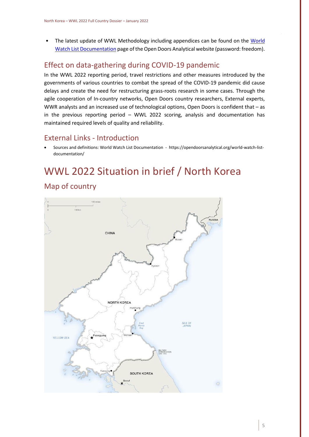• The latest update of WWL Methodology including appendices can be found on the [World](https://opendoorsanalytical.org/world-watch-list-documentation/)  [Watch List Documentation](https://opendoorsanalytical.org/world-watch-list-documentation/) page of the Open Doors Analytical website (password: freedom).

# <span id="page-5-0"></span>Effect on data-gathering during COVID-19 pandemic

In the WWL 2022 reporting period, travel restrictions and other measures introduced by the governments of various countries to combat the spread of the COVID-19 pandemic did cause delays and create the need for restructuring grass-roots research in some cases. Through the agile cooperation of In-country networks, Open Doors country researchers, External experts, WWR analysts and an increased use of technological options, Open Doors is confident that – as in the previous reporting period – WWL 2022 scoring, analysis and documentation has maintained required levels of quality and reliability.

## <span id="page-5-1"></span>External Links - Introduction

• Sources and definitions: World Watch List Documentation - https://opendoorsanalytical.org/world-watch-listdocumentation/

# <span id="page-5-2"></span>WWL 2022 Situation in brief / North Korea Map of country

<span id="page-5-3"></span>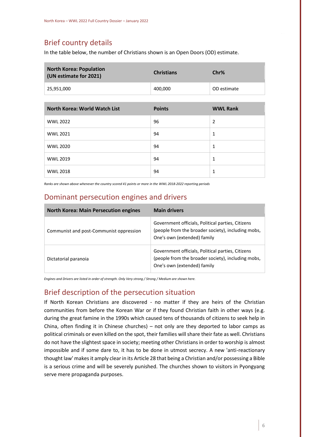# Brief country details

In the table below, the number of Christians shown is an Open Doors (OD) estimate.

| <b>North Korea: Population</b><br>(UN estimate for 2021) | <b>Christians</b> | Chr%        |  |  |
|----------------------------------------------------------|-------------------|-------------|--|--|
| $^{\circ}$ 25,951,000                                    | 400,000           | OD estimate |  |  |

| <b>North Korea: World Watch List</b> | <b>Points</b> | <b>WWL Rank</b> |
|--------------------------------------|---------------|-----------------|
| <b>WWL 2022</b>                      | 96            | 2               |
| <b>WWL 2021</b>                      | 94            | 1               |
| <b>WWL 2020</b>                      | 94            | 1               |
| <b>WWL 2019</b>                      | 94            | 1               |
| <b>WWL 2018</b>                      | 94            | 1               |

*Ranks are shown above whenever the country scored 41 points or more in the WWL 2018-2022 reporting periods*

## <span id="page-6-0"></span>Dominant persecution engines and drivers

| <b>North Korea: Main Persecution engines</b> | <b>Main drivers</b>                                                                                                                    |
|----------------------------------------------|----------------------------------------------------------------------------------------------------------------------------------------|
| Communist and post-Communist oppression      | Government officials, Political parties, Citizens<br>(people from the broader society), including mobs,<br>One's own (extended) family |
| Dictatorial paranoia                         | Government officials, Political parties, Citizens<br>(people from the broader society), including mobs,<br>One's own (extended) family |

*Engines and Drivers are listed in order of strength. Only Very strong / Strong / Medium are shown here.*

## <span id="page-6-1"></span>Brief description of the persecution situation

If North Korean Christians are discovered - no matter if they are heirs of the Christian communities from before the Korean War or if they found Christian faith in other ways (e.g. during the great famine in the 1990s which caused tens of thousands of citizens to seek help in China, often finding it in Chinese churches) – not only are they deported to labor camps as political criminals or even killed on the spot, their families will share their fate as well. Christians do not have the slightest space in society; meeting other Christians in order to worship is almost impossible and if some dare to, it has to be done in utmost secrecy. A new 'anti-reactionary thought law' makes it amply clear in its Article 28 that being a Christian and/or possessing a Bible is a serious crime and will be severely punished. The churches shown to visitors in Pyongyang serve mere propaganda purposes.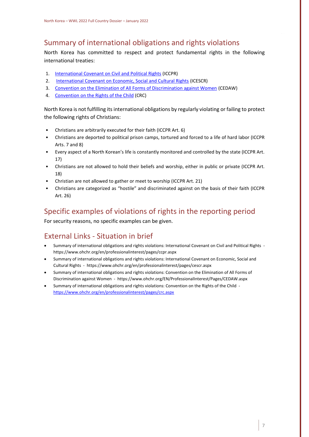# <span id="page-7-0"></span>Summary of international obligations and rights violations

North Korea has committed to respect and protect fundamental rights in the following international treaties:

- 1. [International Covenant on Civil and Political Rights](https://www.ohchr.org/en/professionalinterest/pages/ccpr.aspx) (ICCPR)
- 2. [International Covenant on Economic, Social and Cultural Rights](https://www.ohchr.org/en/professionalinterest/pages/cescr.aspx) (ICESCR)
- 3. [Convention on the Elimination of All Forms of Discrimination against Women](https://www.ohchr.org/EN/ProfessionalInterest/Pages/CEDAW.aspx) (CEDAW)
- 4. [Convention on the Rights of the Child](https://www.ohchr.org/en/professionalinterest/pages/crc.aspx) (CRC)

North Korea is not fulfilling its international obligations by regularly violating or failing to protect the following rights of Christians:

- Christians are arbitrarily executed for their faith (ICCPR Art. 6)
- Christians are deported to political prison camps, tortured and forced to a life of hard labor (ICCPR Arts. 7 and 8)
- Every aspect of a North Korean's life is constantly monitored and controlled by the state (ICCPR Art. 17)
- Christians are not allowed to hold their beliefs and worship, either in public or private (ICCPR Art. 18)
- Christian are not allowed to gather or meet to worship (ICCPR Art. 21)
- Christians are categorized as "hostile" and discriminated against on the basis of their faith (ICCPR Art. 26)

## <span id="page-7-1"></span>Specific examples of violations of rights in the reporting period

For security reasons, no specific examples can be given.

# <span id="page-7-2"></span>External Links - Situation in brief

- Summary of international obligations and rights violations: International Covenant on Civil and Political Rights https://www.ohchr.org/en/professionalinterest/pages/ccpr.aspx
- Summary of international obligations and rights violations: International Covenant on Economic, Social and Cultural Rights - https://www.ohchr.org/en/professionalinterest/pages/cescr.aspx
- Summary of international obligations and rights violations: Convention on the Elimination of All Forms of Discrimination against Women - https://www.ohchr.org/EN/ProfessionalInterest/Pages/CEDAW.aspx
- Summary of international obligations and rights violations: Convention on the Rights of the Child <https://www.ohchr.org/en/professionalinterest/pages/crc.aspx>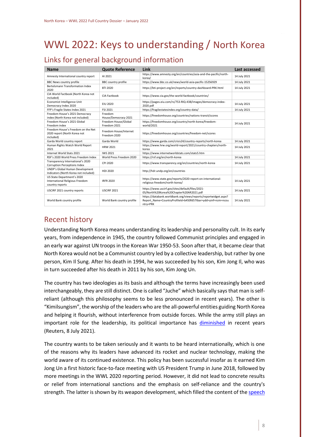# <span id="page-8-0"></span>WWL 2022: Keys to understanding / North Korea

# <span id="page-8-1"></span>Links for general background information

| <b>Name</b>                                                                             | <b>Quote Reference</b>                 | Link                                                                                                                                       | Last accessed |
|-----------------------------------------------------------------------------------------|----------------------------------------|--------------------------------------------------------------------------------------------------------------------------------------------|---------------|
| Amnesty International country report                                                    | AI 2021                                | https://www.amnesty.org/en/countries/asia-and-the-pacific/north-<br>korea/                                                                 | 14 July 2021  |
| <b>BBC News country profile</b>                                                         | <b>BBC</b> country profile             | https://www.bbc.co.uk/news/world-asia-pacific-15256929                                                                                     | 14 July 2021  |
| Bertelsmann Transformation Index<br>2020                                                | <b>BTI 2020</b>                        | https://bti-project.org/en/reports/country-dashboard-PRK.html                                                                              | 14 July 2021  |
| CIA World Factbook (North Korea not<br>included)                                        | CIA Factbook                           | https://www.cia.gov/the-world-factbook/countries/                                                                                          |               |
| Economist Intelligence Unit<br>Democracy Index 2020                                     | <b>EIU 2020</b>                        | https://pages.eiu.com/rs/753-RIQ-438/images/democracy-index-<br>2020.pdf                                                                   | 14 July 2021  |
| FFP's Fragile States Index 2021                                                         | FSI 2021                               | https://fragilestatesindex.org/country-data/                                                                                               | 14 July 2021  |
| Freedom House's 2021 Democracy<br>index (North Korea not included)                      | Freedom<br>House/Democracy 2021        | https://freedomhouse.org/countries/nations-transit/scores                                                                                  |               |
| Freedom House's 2021 Global<br>Freedom index                                            | Freedom House/Global<br>Freedom 2021   | https://freedomhouse.org/country/north-korea/freedom-<br>world/2021                                                                        | 14 July 2021  |
| Freedom House's Freedom on the Net<br>2020 report (North Korea not<br>included)         | Freedom House/Internet<br>Freedom 2020 | https://freedomhouse.org/countries/freedom-net/scores                                                                                      |               |
| Garda World country report                                                              | Garda World                            | https://www.garda.com/crisis24/country-reports/north-korea                                                                                 | 14 July 2021  |
| Human Rights Watch World Report<br>2021                                                 | <b>HRW 2021</b>                        | https://www.hrw.org/world-report/2021/country-chapters/north-<br>korea                                                                     | 14 July 2021  |
| Internet World Stats 2021                                                               | <b>IWS 2021</b>                        | https://www.internetworldstats.com/stats5.htm                                                                                              |               |
| RSF's 2020 World Press Freedom Index                                                    | World Press Freedom 2020               | https://rsf.org/en/north-korea                                                                                                             | 14 July 2021  |
| Transparency International's 2020<br><b>Corruption Perceptions Index</b>                | CPI 2020                               | https://www.transparency.org/en/countries/north-korea                                                                                      | 14 July 2021  |
| UNDP's Global Human Development<br>Indicators (North Korea not included)                | HDI 2020                               | http://hdr.undp.org/en/countries                                                                                                           |               |
| US State Department's 2020<br><b>International Religious Freedom</b><br>country reports | <b>IRFR 2020</b>                       | https://www.state.gov/reports/2020-report-on-international-<br>religious-freedom/north-korea/                                              | 14 July 2021  |
| USCIRF 2021 country reports                                                             | <b>USCIRF 2021</b>                     | https://www.uscirf.gov/sites/default/files/2021-<br>05/North%20Korea%20Chapter%20AR2021.pdf                                                | 14 July 2021  |
| World Bank country profile                                                              | World Bank country profile             | https://databank.worldbank.org/views/reports/reportwidget.aspx?<br>Report Name=CountryProfileId=b450fd57tbar=ydd=yinf=nzm=ncou<br>ntry=PRK | 14 July 2021  |

## <span id="page-8-2"></span>Recent history

Understanding North Korea means understanding its leadership and personality cult. In its early years, from independence in 1945, the country followed Communist principles and engaged in an early war against UN troops in the Korean War 1950-53. Soon after that, it became clear that North Korea would not be a Communist country led by a collective leadership, but rather by one person, Kim Il Sung. After his death in 1994, he was succeeded by his son, Kim Jong Il, who was in turn succeeded after his death in 2011 by his son, Kim Jong Un.

The country has two ideologies as its basis and although the terms have increasingly been used interchangeably, they are still distinct. One is called "Juche" which basically says that man is selfreliant (although this philosophy seems to be less pronounced in recent years). The other is "Kimilsungism", the worship of the leaders who are the all-powerful entities guiding North Korea and helping it flourish, without interference from outside forces. While the army still plays an important role for the leadership, its political importance has [diminished](https://www.reuters.com/article/idUSKCN2EE0D1) in recent years (Reuters, 8 July 2021).

The country wants to be taken seriously and it wants to be heard internationally, which is one of the reasons why its leaders have advanced its rocket and nuclear technology, making the world aware of its continued existence. This policy has been successful insofar as it earned Kim Jong Un a first historic face-to-face meeting with US President Trump in June 2018, followed by more meetings in the WWL 2020 reporting period. However, it did not lead to concrete results or relief from international sanctions and the emphasis on self-reliance and the country's strength. The latter is shown by its weapon development, which filled the content of the [speech](https://www.38north.org/2020/10/kjuspeech101320/)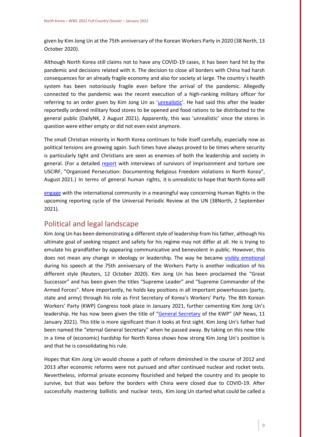given by Kim Jong Un at the 75th anniversary of the Korean Workers Party in 2020 (38 North, 13 October 2020).

Although North Korea still claims not to have any COVID-19 cases, it has been hard hit by the pandemic and decisions related with it. The decision to close all borders with China had harsh consequences for an already fragile economy and also for society at large. The country`s health system has been notoriously fragile even before the arrival of the pandemic. Allegedly connected to the pandemic was the recent execution of a high-ranking military officer for referring to an order given by Kim Jong Un as '[unrealistic](https://www.dailynk.com/english/high-ranking-north-korean-military-official-executed-calling-kim-jong-un-special-order-unrealistic/)'. He had said this after the leader reportedly ordered military food stores to be opened and food rations to be distributed to the general public (DailyNK, 2 August 2021). Apparently, this was 'unrealistic' since the stores in question were either empty or did not even exist anymore.

The small Christian minority in North Korea continues to hide itself carefully, especially now as political tensions are growing again. Such times have always proved to be times where security is particularly tight and Christians are seen as enemies of both the leadership and society in general. (For a detailed [report](https://www.uscirf.gov/publication/organized-persecution-documenting-religious-freedom-violations-north-korea) with interviews of survivors of imprisonment and torture see USCIRF, "Organized Persecution: Documenting Religious Freedom violations in North Korea", August 2021.) In terms of general human rights, it is unrealistic to hope that North Korea will

[engage](https://www.38north.org/2021/09/scrutinizing-north-koreas-record-on-civil-and-political-rights-the-new-iccpr-reporting-cycle/) with the international community in a meaningful way concerning Human Rights in the upcoming reporting cycle of the Universal Periodic Review at the UN (38North, 2 September 2021).

## <span id="page-9-0"></span>Political and legal landscape

Kim Jong Un has been demonstrating a different style of leadership from his father, although his ultimate goal of seeking respect and safety for his regime may not differ at all. He is trying to emulate his grandfather by appearing communicative and benevolent in public. However, this does not mean any change in ideology or leadership. The way he became [visibly emotional](https://www.reuters.com/article/idUSKBN26X1UH) during his speech at the 75th anniversary of the Workers Party is another indication of his different style (Reuters, 12 October 2020). Kim Jong Un has been proclaimed the "Great Successor" and has been given the titles "Supreme Leader" and "Supreme Commander of the Armed Forces". More importantly, he holds key positions in all important powerhouses (party, state and army) through his role as First Secretary of Korea's Workers' Party. The 8th Korean Workers' Party (KWP) Congress took place in January 2021, further cementing Kim Jong Un's leadership. He has now been given the title of "[General Secretary](https://apnews.com/article/south-korea-north-korea-ff69c4291ba6d83f1585a4e4cb1a2a94) of the KWP" (AP News, 11 January 2021). This title is more significant than it looks at first sight. Kim Jong Un's father had been named the "eternal General Secretary" when he passed away. By taking on this new title in a time of (economic) hardship for North Korea shows how strong Kim Jong Un's position is and that he is consolidating his rule.

Hopes that Kim Jong Un would choose a path of reform diminished in the course of 2012 and 2013 after economic reforms were not pursued and after continued nuclear and rocket tests. Nevertheless, informal private economy flourished and helped the country and its people to survive, but that was before the borders with China were closed due to COVID-19. After successfully mastering ballistic and nuclear tests, Kim Jong Un started what could be called a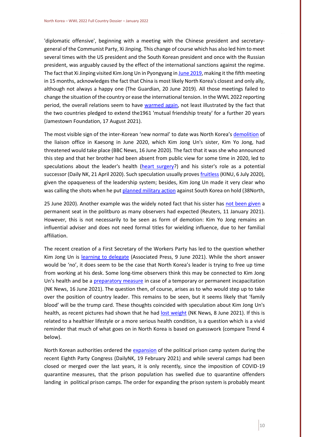'diplomatic offensive', beginning with a meeting with the Chinese president and secretarygeneral of the Communist Party, Xi Jinping. This change of course which has also led him to meet several times with the US president and the South Korean president and once with the Russian president, was arguably caused by the effect of the international sanctions against the regime. The fact that Xi Jinping visited Kim Jong Un in Pyongyang i[n June 2019,](https://www.theguardian.com/world/2019/jun/20/xi-jinping-north-korea-kim-jong-un-nuclear-trump-talks-g20) making it the fifth meeting in 15 months, acknowledges the fact that China is most likely North Korea's closest and only ally, although not always a happy one (The Guardian, 20 June 2019). All those meetings failed to change the situation of the country or ease the international tension. In the WWL 2022 reporting period, the overall relations seem to have [warmed again,](https://jamestown.org/program/lips-and-teeth-the-enduring-china-north-korea-relationship/) not least illustrated by the fact that the two countries pledged to extend the1961 'mutual friendship treaty' for a further 20 years (Jamestown Foundation, 17 August 2021).

The most visible sign of the inter-Korean 'new normal' to date was North Korea's [demolition](https://www.bbc.co.uk/news/world-asia-53060620) of the liaison office in Kaesong in June 2020, which Kim Jong Un's sister, Kim Yo Jong, had threatened would take place (BBC News, 16 June 2020). The fact that it was she who announced this step and that her brother had been absent from public view for some time in 2020, led to speculations about the leader's health [\(heart surgery?](https://www.dailynk.com/english/source-kim-jong-un-recently-received-heart-surgery/)) and his sister's role as a potential successor (Daily NK, 21 April 2020). Such speculation usually prove[s fruitless](http://www.kinu.or.kr/2020/eng/0706/co20-12e.pdf) (KINU, 6 July 2020), given the opaqueness of the leadership system; besides, Kim Jong Un made it very clear who was calling the shots when he pu[t planned military action](https://www.38north.org/2020/06/military062520/) against South Korea on hold (38North,

25 June 2020). Another example was the widely noted fact that his sister has [not been given](https://www.reuters.com/article/idUSKBN29F0OD) a permanent seat in the politburo as many observers had expected (Reuters, 11 January 2021). However, this is not necessarily to be seen as form of demotion: Kim Yo Jong remains an influential adviser and does not need formal titles for wielding influence, due to her familial affiliation.

The recent creation of a First Secretary of the Workers Party has led to the question whether Kim Jong Un is [learning to delegate](https://apnews.com/article/kim-jong-un-donald-trump-north-korea-business-d8ecf74ca00649cb8cf6949d59dfb8fc) (Associated Press, 9 June 2021). While the short answer would be 'no', it does seem to be the case that North Korea's leader is trying to free up time from working at his desk. Some long-time observers think this may be connected to Kim Jong Un's health and be a [preparatory measure](https://www.nknews.org/2021/06/north-koreas-ruling-party-rule-revisions-presage-trouble-at-the-top/) in case of a temporary or permanent incapacitation (NK News, 16 June 2021). The question then, of course, arises as to who would step up to take over the position of country leader. This remains to be seen, but it seems likely that 'family blood' will be the trump card. These thoughts coincided with speculation about Kim Jong Un's health, as recent pictures had shown that he had [lost weight](https://www.nknews.org/2021/06/kim-jong-un-looks-thinner-and-intelligence-agencies-are-likely-paying-attention/) (NK News, 8 June 2021). If this is related to a healthier lifestyle or a more serious health condition, is a question which is a vivid reminder that much of what goes on in North Korea is based on guesswork (compare Trend 4 below).

North Korean authorities ordered the [expansion](https://www.dailynk.com/english/north-korea-orders-expansion-political-prison-camp-system/) of the political prison camp system during the recent Eighth Party Congress (DailyNK, 19 February 2021) and while several camps had been closed or merged over the last years, it is only recently, since the imposition of COVID-19 quarantine measures, that the prison population has swelled due to quarantine offenders landing in political prison camps. The order for expanding the prison system is probably meant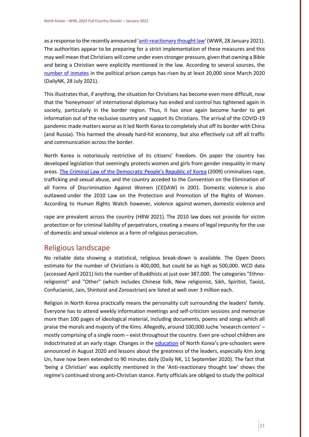as a response to the recently announced ['anti-reactionary thought law'](http://opendoorsanalytical.org/north-korea-keeping-all-south-korean-and-christian-influence-at-bay/) (WWR, 28 January 2021). The authorities appear to be preparing for a strict implementation of these measures and this may well mean that Christians will come under even stronger pressure, given that owning a Bible and being a Christian were explicitly mentioned in the law. According to several sources, the [number of inmates](https://www.dailynk.com/english/number-inmates-north-korean-political-prisons-increased-at-least-20000-since-march-2020/) in the political prison camps has risen by at least 20,000 since March 2020 (DailyNK, 28 July 2021).

This illustrates that, if anything, the situation for Christians has become even more difficult, now that the 'honeymoon' of international diplomacy has ended and control has tightened again in society, particularly in the border region. Thus, it has once again become harder to get information out of the reclusive country and support its Christians. The arrival of the COVID-19 pandemic made matters worse as it led North Korea to completely shut off its border with China (and Russia). This harmed the already hard-hit economy, but also effectively cut off all traffic and communication across the border.

North Korea is notoriously restrictive of its citizens' freedom. On paper the country has developed legislation that seemingly protects women and girls from gender inequality in many areas[. The Criminal Law of the Democratic People's Republic of Korea](https://www.hrnk.org/uploads/pdfs/The%20Criminal%20Law%20of%20the%20Democratic%20Republic%20of%20Korea_2009_%20(1).pdf) (2009) criminalizes rape, trafficking and sexual abuse, and the country acceded to the Convention on the Elimination of all Forms of Discrimination Against Women (CEDAW) in 2001. Domestic violence is also outlawed under the 2010 Law on the Protection and Promotion of the Rights of Women. According to Human Rights Watch however, violence against women, domestic violence and

rape are prevalent across the country (HRW 2021). The 2010 law does not provide for victim protection or for criminal liability of perpetrators, creating a means of legal impunity for the use of domestic and sexual violence as a form of religious persecution.

## <span id="page-11-0"></span>Religious landscape

No reliable data showing a statistical, religious break-down is available. The Open Doors estimate for the number of Christians is 400,000, but could be as high as 500,000. WCD data (accessed April 2021) lists the number of Buddhists at just over 387,000. The categories "Ethnoreligionist" and "Other" (which includes Chinese folk, New religionist, Sikh, Spiritist, Taoist, Confucianist, Jain, Shintoist and Zoroastrian) are listed at well over 3 million each.

Religion in North Korea practically means the personality cult surrounding the leaders' family. Everyone has to attend weekly information meetings and self-criticism sessions and memorize more than 100 pages of ideological material, including documents, poems and songs which all praise the morals and majesty of the Kims. Allegedly, around 100,000 Juche 'research centers' – mostly comprising of a single room – exist throughout the country. Even pre-school children are indoctrinated at an early stage. Changes in the [education](https://www.dailynk.com/english/kim-yo-jong-updates-greatness-education-curriculum-preschools/) of North Korea's pre-schoolers were announced in August 2020 and lessons about the greatness of the leaders, especially Kim Jong Un, have now been extended to 90 minutes daily (Daily NK, 11 September 2020). The fact that 'being a Christian' was explicitly mentioned in the 'Anti-reactionary thought law' shows the regime's continued strong anti-Christian stance. Party officials are obliged to study the political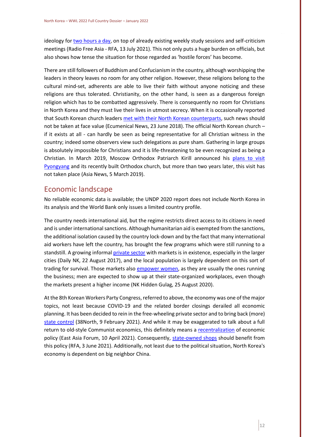ideology for [two hours a day,](https://www.rfa.org/english/news/korea/acts-07132021215939.html) on top of already existing weekly study sessions and self-criticism meetings (Radio Free Asia - RFA, 13 July 2021). This not only puts a huge burden on officials, but also shows how tense the situation for those regarded as 'hostile forces' has become.

There are still followers of Buddhism and Confucianism in the country, although worshipping the leaders in theory leaves no room for any other religion. However, these religions belong to the cultural mind-set, adherents are able to live their faith without anyone noticing and these religions are thus tolerated. Christianity, on the other hand, is seen as a dangerous foreign religion which has to be combatted aggressively. There is consequently no room for Christians in North Korea and they must live their lives in utmost secrecy. When it is occasionally reported that South Korean church leader[s met with their North](https://www.ecumenicalnews.com/article/north-and-south-korean-church-leaders-share-table-issue-call-to-lift-sanctions-on-dprk/60567.htm) Korean counterparts, such news should not be taken at face value (Ecumenical News, 23 June 2018). The official North Korean church – if it exists at all - can hardly be seen as being representative for all Christian witness in the country; indeed some observers view such delegations as pure sham. Gathering in large groups is absolutely impossible for Christians and it is life-threatening to be even recognized as being a Christian. In March 2019, Moscow Orthodox Patriarch Kirill announced his [plans to visit](http://www.asianews.it/news-en/Patriarch-Kirill-will-visit-North-Korea.-Russian-orthodoxy-in-the-East-46412.html)  [Pyongyang](http://www.asianews.it/news-en/Patriarch-Kirill-will-visit-North-Korea.-Russian-orthodoxy-in-the-East-46412.html) and its recently built Orthodox church, but more than two years later, this visit has not taken place (Asia News, 5 March 2019).

## <span id="page-12-0"></span>Economic landscape

No reliable economic data is available; the UNDP 2020 report does not include North Korea in its analysis and the World Bank only issues a limited country profile.

The country needs international aid, but the regime restricts direct access to its citizens in need and is under international sanctions. Although humanitarian aid is exempted from the sanctions, the additional isolation caused by the country lock-down and by the fact that many international aid workers have left the country, has brought the few programs which were still running to a standstill. A growing informal [private sector](https://www.dailynk.com/english/daily-nk-releases-groundlevel-repo/) with markets is in existence, especially in the larger cities (Daily NK, 22 August 2017), and the local population is largely dependent on this sort of trading for survival. Those markets als[o empower women,](https://www.nkhiddengulag.org/blog/womens-evolving-role-in-north-koreas-jangmadang-generation) as they are usually the ones running the business; men are expected to show up at their state-organized workplaces, even though the markets present a higher income (NK Hidden Gulag, 25 August 2020).

At the 8th Korean Workers Party Congress, referred to above, the economy was one of the major topics, not least because COVID-19 and the related border closings derailed all economic planning. It has been decided to rein in the free-wheeling private sector and to bring back (more) [state control](https://www.38north.org/2021/02/kim-jong-uns-congress-report-more-economic-and-social-controls-on-the-horizon/) (38North, 9 February 2021). And while it may be exaggerated to talk about a full return to old-style Communist economics, this definitely means a [recentralization](https://www.eastasiaforum.org/2021/04/10/north-koreas-economy-is-recentralised-and-china-reliant/) of economic policy (East Asia Forum, 10 April 2021). Consequently, [state-owned shops](https://www.rfa.org/english/news/korea/markets-06032021152857.html) should benefit from this policy (RFA, 3 June 2021). Additionally, not least due to the political situation, North Korea's economy is dependent on big neighbor China.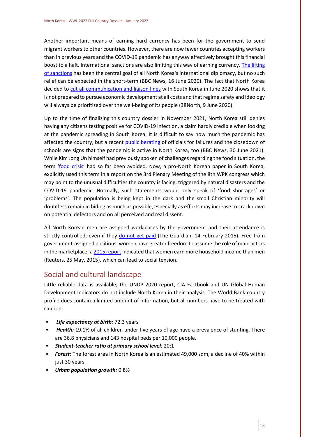Another important means of earning hard currency has been for the government to send migrant workers to other countries. However, there are now fewer countries accepting workers than in previous years and the COVID-19 pandemic has anyway effectively brought this financial boost to a halt. International sanctions are also limiting this way of earning currency. The lifting [of sanctions](https://www.bbc.com/news/world-asia-53059491) has been the central goal of all North Korea's international diplomacy, but no such relief can be expected in the short-term (BBC News, 16 June 2020). The fact that North Korea decided to [cut all communication and liaison lines](https://www.38north.org/2020/06/rcarlin060920/) with South Korea in June 2020 shows that it is not prepared to pursue economic development at all costs and that regime safety and ideology will always be prioritized over the well-being of its people (38North, 9 June 2020).

Up to the time of finalizing this country dossier in November 2021, North Korea still denies having any citizens testing positive for COVID-19 infection, a claim hardly credible when looking at the pandemic spreading in South Korea. It is difficult to say how much the pandemic has affected the country, but a recent [public berating](https://www.bbc.com/news/world-asia-57661653) of officials for failures and the closedown of schools are signs that the pandemic is active in North Korea, too (BBC News, 30 June 2021). While Kim Jong Un himself had previously spoken of challenges regarding the food situation, the term '[food crisis](https://www.38north.org/2021/07/pyongyang-indirectly-acknowledges-food-crisis/)' had so far been avoided. Now, a pro-North Korean paper in South Korea, explicitly used this term in a report on the 3rd Plenary Meeting of the 8th WPK congress which may point to the unusual difficulties the country is facing, triggered by natural disasters and the COVID-19 pandemic. Normally, such statements would only speak of 'food shortages' or 'problems'. The population is being kept in the dark and the small Christian minority will doubtless remain in hiding as much as possible, especially as efforts may increase to crack down on potential defectors and on all perceived and real dissent.

All North Korean men are assigned workplaces by the government and their attendance is strictly controlled, even if they [do not get paid](https://www.theguardian.com/world/2015/feb/14/north-korean-sexism-women) (The Guardian, 14 February 2015). Free from government-assigned positions, women have greater freedom to assume the role of main actors in the marketplace; [a 2015 report](https://www.reuters.com/article/us-northkorea-women/in-north-korea-men-call-the-shots-women-make-the-money-idUSKBN0O90Y020150524) indicated that women earn more household income than men (Reuters, 25 May, 2015), which can lead to social tension.

## <span id="page-13-0"></span>Social and cultural landscape

Little reliable data is available; the UNDP 2020 report, CIA Factbook and UN Global Human Development Indicators do not include North Korea in their analysis. The World Bank country profile does contain a limited amount of information, but all numbers have to be treated with caution:

- *Life expectancy at birth:* 72.3 years
- *Health:* 19.1% of all children under five years of age have a prevalence of stunting. There are 36.8 physicians and 143 hospital beds per 10,000 people.
- *Student-teacher ratio at primary school level:* 20:1
- *Forest:* The forest area in North Korea is an estimated 49,000 sqm, a decline of 40% within just 30 years.
- *Urban population growth:* 0.8%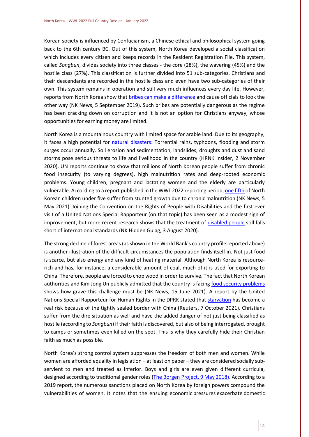Korean society is influenced by Confucianism, a Chinese ethical and philosophical system going back to the 6th century BC. Out of this system, North Korea developed a social classification which includes every citizen and keeps records in the Resident Registration File. This system, called *Songbun*, divides society into three classes - the core (28%), the wavering (45%) and the hostile class (27%). This classification is further divided into 51 sub-categories. Christians and their descendants are recorded in the hostile class and even have two sub-categories of their own. This system remains in operation and still very much influences every day life. However, reports from North Korea show that [bribes can make a difference](https://www.nknews.org/2019/09/ask-a-north-korean-what-is-the-songbun-system-like-under-kim-jong-un/) and cause officials to look the other way (NK News, 5 September 2019). Such bribes are potentially dangerous as the regime has been cracking down on corruption and it is not an option for Christians anyway, whose opportunities for earning money are limited.

North Korea is a mountainous country with limited space for arable land. Due to its geography, it faces a high potential for [natural disasters:](https://www.hrnkinsider.org/2020/11/natural-disaster-preparedness-in-north.html) Torrential rains, typhoons, flooding and storm surges occur annually. Soil erosion and sedimentation, landslides, droughts and dust and sand storms pose serious threats to life and livelihood in the country (HRNK Insider, 2 November 2020). UN reports continue to show that millions of North Korean people suffer from chronic food insecurity (to varying degrees), high malnutrition rates and deep-rooted economic problems. Young children, pregnant and lactating women and the elderly are particularly vulnerable. According to a report published in the WWL 2022 reporting period[, one fifth](https://www.nknews.org/2021/05/one-in-5-north-korean-kids-suffer-from-stunted-growth/) of North Korean children under five suffer from stunted growth due to chronic malnutrition (NK News, 5 May 2021). Joining the Convention on the Rights of People with Disabilities and the first ever visit of a United Nations Special Rapporteur (on that topic) has been seen as a modest sign of improvement, but more recent research shows that the treatment of [disabled people](https://www.nkhiddengulag.org/blog/identities-lost-north-koreas-human-rights-violations-against-individuals-with-disabilities) still falls short of international standards (NK Hidden Gulag, 3 August 2020).

The strong decline of forest areas (as shown in the World Bank's country profile reported above) is another illustration of the difficult circumstances the population finds itself in. Not just food is scarce, but also energy and any kind of heating material. Although North Korea is resourcerich and has, for instance, a considerable amount of coal, much of it is used for exporting to China. Therefore, people are forced to chop wood in order to survive. The fact that North Korean authorities and Kim Jong Un publicly admitted that the country is facing [food security problems](https://www.nknews.org/2021/06/party-plenum-event-kicks-off-kim-jong-un-admits-food-security-issues/) shows how grave this challenge must be (NK News, 15 June 2021). A report by the United Nations Special Rapporteur for Human Rights in the DPRK stated that [starvation](https://www.reuters.com/world/asia-pacific/exclusive-un-expert-calls-nkorea-sanctions-be-eased-starvation-risk-looms-2021-10-07/) has become a real risk because of the tightly sealed border with China (Reuters, 7 October 2021). Christians suffer from the dire situation as well and have the added danger of not just being classified as hostile (according to *Songbun*) if their faith is discovered, but also of being interrogated, brought to camps or sometimes even killed on the spot. This is why they carefully hide their Christian faith as much as possible.

North Korea's strong control system suppresses the freedom of both men and women. While women are afforded equality in legislation – at least on paper – they are considered socially subservient to men and treated as inferior. Boys and girls are even given different curricula, designed according to traditional gender roles (The Borgen [Project, 9 May 2018\).](https://borgenproject.org/girls-education-in-north-korea/) According to a 2019 report, the numerous sanctions placed on North Korea by foreign powers compound the vulnerabilities of women. It notes that the ensuing economic pressures exacerbate domestic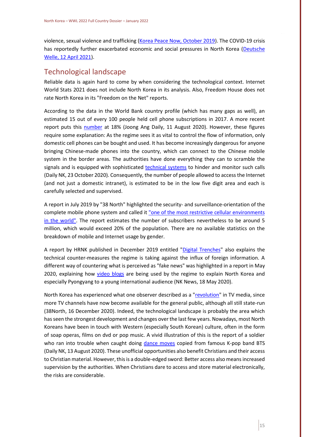violence, sexual violence and trafficking [\(Korea Peace Now, October 2019\)](https://koreapeacenow.org/wp-content/uploads/2019/10/human-costs-and-gendered-impact-of-sanctions-on-north-korea.pdf). The COVID-19 crisis has reportedly further exacerbated economic and social pressures in North Korea [\(Deutsche](https://www.dw.com/en/coronavirus-how-the-pandemic-is-hitting-north-korea-hard/a-57168554)  [Welle, 12 April 2021\)](https://www.dw.com/en/coronavirus-how-the-pandemic-is-hitting-north-korea-hard/a-57168554).

## <span id="page-15-0"></span>Technological landscape

Reliable data is again hard to come by when considering the technological context. Internet World Stats 2021 does not include North Korea in its analysis. Also, Freedom House does not rate North Korea in its "Freedom on the Net" reports.

According to the data in the World Bank country profile (which has many gaps as well), an estimated 15 out of every 100 people held cell phone subscriptions in 2017. A more recent report puts this [number](https://koreajoongangdaily.joins.com/2020/08/11/business/tech/North-Korea-smartphone/20200811180400430.html) at 18% (Joong Ang Daily, 11 August 2020). However, these figures require some explanation: As the regime sees it as vital to control the flow of information, only domestic cell phones can be bought and used. It has become increasingly dangerous for anyone bringing Chinese-made phones into the country, which can connect to the Chinese mobile system in the border areas. The authorities have done everything they can to scramble the signals and is equipped with sophisticated [technical systems](https://www.dailynk.com/english/north-korea-imports-more-equipment-monitor-communications-along-border/) to hinder and monitor such calls (Daily NK, 23 October 2020). Consequently, the number of people allowed to access the Internet (and not just a domestic intranet), is estimated to be in the low five digit area and each is carefully selected and supervised.

A report in July 2019 by "38 North" highlighted the security- and surveillance-orientation of the complete mobile phone system and called it "one of the most restrictive cellular environments [in the world".](https://www.38north.org/2019/07/mwilliams072219/) The report estimates the number of subscribers nevertheless to be around 5 million, which would exceed 20% of the population. There are no available statistics on the breakdown of mobile and Internet usage by gender.

A report by HRNK published in December 2019 entitled ["Digital Trenches"](https://www.hrnk.org/uploads/pdfs/Williams_Digital_Trenches_Web_FINAL.pdf) also explains the technical counter-measures the regime is taking against the influx of foreign information. A different way of countering what is perceived as "fake news" was highlighted in a report in May 2020, explaining how [video blogs](https://www.nknews.org/2020/05/whats-up-pyongyang-north-korea-experiments-with-vlogging-to-fight-fake-news/) are being used by the regime to explain North Korea and especially Pyongyang to a young international audience (NK News, 18 May 2020).

North Korea has experienced what one observer described as a ["revolution"](https://www.38north.org/2020/12/mwilliams121620/) in TV media, since more TV channels have now become available for the general public, although all still state-run (38North, 16 December 2020). Indeed, the technological landscape is probably the area which has seen the strongest development and changes over the last few years. Nowadays, most North Koreans have been in touch with Western (especially South Korean) culture, often in the form of soap operas, films on dvd or pop music. A vivid illustration of this is the report of a soldier who ran into trouble when caught doing [dance moves](https://www.dailynk.com/english/soldiers-trouble-doing-bts-blood-sweat-tears-dance-moves/) copied from famous K-pop band BTS (Daily NK, 13 August 2020). These unofficial opportunities also benefit Christians and their access to Christian material. However, this is a double-edged sword: Better access also means increased supervision by the authorities. When Christians dare to access and store material electronically, the risks are considerable.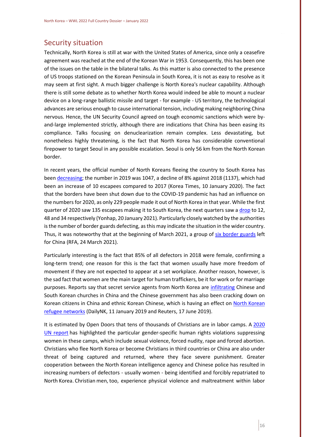## <span id="page-16-0"></span>Security situation

Technically, North Korea is still at war with the United States of America, since only a ceasefire agreement was reached at the end of the Korean War in 1953. Consequently, this has been one of the issues on the table in the bilateral talks. As this matter is also connected to the presence of US troops stationed on the Korean Peninsula in South Korea, it is not as easy to resolve as it may seem at first sight. A much bigger challenge is North Korea's nuclear capability. Although there is still some debate as to whether North Korea would indeed be able to mount a nuclear device on a long-range ballistic missile and target - for example - US territory, the technological advances are serious enough to cause international tension, including making neighboring China nervous. Hence, the UN Security Council agreed on tough economic sanctions which were byand-large implemented strictly, although there are indications that China has been easing its compliance. Talks focusing on denuclearization remain complex. Less devastating, but nonetheless highly threatening, is the fact that North Korea has considerable conventional firepower to target Seoul in any possible escalation. Seoul is only 56 km from the North Korean border.

In recent years, the official number of North Koreans fleeing the country to South Korea has been [decreasing;](http://www.koreatimes.co.kr/www/nation/2020/01/103_281657.html) the number in 2019 was 1047, a decline of 8% against 2018 (1137), which had been an increase of 10 escapees compared to 2017 (Korea Times, 10 January 2020). The fact that the borders have been shut down due to the COVID-19 pandemic has had an influence on the numbers for 2020, as only 229 people made it out of North Korea in that year. While the first quarter of 2020 saw 135 escapees making it to South Korea, the next quarters saw a [drop](https://en.yna.co.kr/view/AEN20210120003100325?section=nk/nk) to 12, 48 and 34 respectively (Yonhap, 20 January 2021). Particularly closely watched by the authorities is the number of border guards defecting, as this may indicate the situation in the wider country. Thus, it was noteworthy that at the beginning of March 2021, a group of [six border guards](https://www.rfa.org/english/news/korea/border-03242021200815.html) left for China (RFA, 24 March 2021).

Particularly interesting is the fact that 85% of all defectors in 2018 were female, confirming a long-term trend; one reason for this is the fact that women usually have more freedom of movement if they are not expected to appear at a set workplace. Another reason, however, is the sad fact that women are the main target for human traffickers, be it for work or for marriage purposes. Reports say that secret service agents from North Korea are [infiltrating](https://www.dailynk.com/english/north-korean-state-security-agents-infiltrate-churches-in-china-to-cozy-up-to-south-koreans/) Chinese and South Korean churches in China and the Chinese government has also been cracking down on Korean citizens in China and ethnic Korean Chinese, which is having an effect on North Korean [refugee networks](https://www.reuters.com/article/us-northkorea-china-defectors/chinese-raids-hit-north-korean-defectors-underground-railroad-idUSKCN1TH0VJ) (DailyNK, 11 January 2019 and Reuters, 17 June 2019).

It is estimated by Open Doors that tens of thousands of Christians are in labor camps. A [2020](https://www.ohchr.org/Documents/Countries/KP/HR_Violations_against_Women_DPRK_EN.pdf)  [UN report](https://www.ohchr.org/Documents/Countries/KP/HR_Violations_against_Women_DPRK_EN.pdf) has highlighted the particular gender-specific human rights violations suppressing women in these camps, which include sexual violence, forced nudity, rape and forced abortion. Christians who flee North Korea or become Christians in third countries or China are also under threat of being captured and returned, where they face severe punishment. Greater cooperation between the North Korean intelligence agency and Chinese police has resulted in increasing numbers of defectors - usually women - being identified and forcibly repatriated to North Korea. Christian men, too, experience physical violence and maltreatment within labor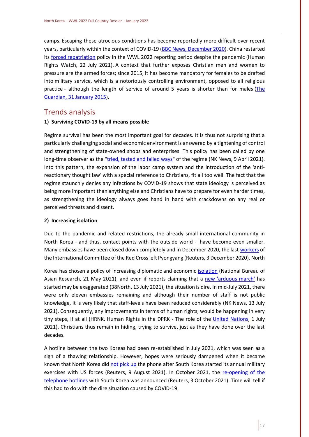camps. Escaping these atrocious conditions has become reportedly more difficult over recent years, particularly within the context of COVID-19 [\(BBC News, December 2020\)](https://www.bbc.co.uk/news/av/world-asia-55362463). China restarted its [forced repatriation](https://www.hrw.org/news/2021/07/22/china-restarts-forced-returns-refugees-north-korea) policy in the WWL 2022 reporting period despite the pandemic (Human Rights Watch, 22 July 2021). A context that further exposes Christian men and women to pressure are the armed forces; since 2015, it has become mandatory for females to be drafted into military service, which is a notoriously controlling environment, opposed to all religious practice - although the length of service of around 5 years is shorter than for males (The [Guardian, 31](https://www.theguardian.com/world/2015/jan/31/north-korea-mandatory-military-service-women) January 2015).

## <span id="page-17-0"></span>Trends analysis

#### **1) Surviving COVID-19 by all means possible**

Regime survival has been the most important goal for decades. It is thus not surprising that a particularly challenging social and economic environment is answered by a tightening of control and strengthening of state-owned shops and enterprises. This policy has been called by one long-time observer as the ["tried, tested and failed ways"](https://www.nknews.org/2021/04/kim-jong-un-must-beware-the-tried-tested-and-failed-ways-of-north-koreas-past/) of the regime (NK News, 9 April 2021). Into this pattern, the expansion of the labor camp system and the introduction of the 'antireactionary thought law' with a special reference to Christians, fit all too well. The fact that the regime staunchly denies any infections by COVID-19 shows that state ideology is perceived as being more important than anything else and Christians have to prepare for even harder times, as strengthening the ideology always goes hand in hand with crackdowns on any real or perceived threats and dissent.

#### **2) Increasing isolation**

Due to the pandemic and related restrictions, the already small international community in North Korea - and thus, contact points with the outside world - have become even smaller. Many embassies have been closed down completely and in December 2020, the las[t workers](https://www.reuters.com/article/idUSKBN28D1DX) of the International Committee of the Red Cross left Pyongyang (Reuters, 3 December 2020). North

Korea has chosen a policy of increasing diplomatic and economic [isolation](https://www.nbr.org/publication/north-koreas-covid-19-choice-greater-diplomatic-and-economic-isolation/) (National Bureau of Asian Research, 21 May 2021), and even if reports claiming that a [new 'arduous march'](https://www.38north.org/2021/07/is-the-north-korean-economy-under-kim-jong-un-in-danger-arduous-march-in-the-age-of-covid-19/) has started may be exaggerated (38North, 13 July 2021), the situation is dire. In mid-July 2021, there were only eleven embassies remaining and although their number of staff is not public knowledge, it is very likely that staff-levels have been reduced considerably (NK News, 13 July 2021). Consequently, any improvements in terms of human rights, would be happening in very tiny steps, if at all (HRNK, Human Rights in the DPRK - The role of the [United Nations,](https://www.hrnk.org/uploads/pdfs/Hawk_UN_FINALFINAL_WEB.pdf) 1 July 2021). Christians thus remain in hiding, trying to survive, just as they have done over the last decades.

A hotline between the two Koreas had been re-established in July 2021, which was seen as a sign of a thawing relationship. However, hopes were seriously dampened when it became known that North Korea did [not pick up](https://www.reuters.com/world/asia-pacific/nkorea-says-us-skorea-face-security-threats-with-military-drills-2021-08-09/) the phone after South Korea started its annual military exercises with US forces (Reuters, 9 August 2021). In October 2021, the [re-opening of the](https://www.reuters.com/world/asia-pacific/nkorea-says-inter-korean-hotlines-will-be-restored-monday-kcna-2021-10-03/)  [telephone hotlines](https://www.reuters.com/world/asia-pacific/nkorea-says-inter-korean-hotlines-will-be-restored-monday-kcna-2021-10-03/) with South Korea was announced (Reuters, 3 October 2021). Time will tell if this had to do with the dire situation caused by COVID-19.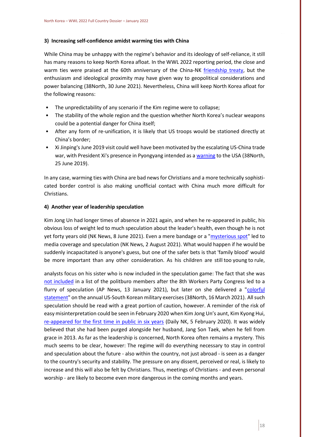#### **3) Increasing self-confidence amidst warming ties with China**

While China may be unhappy with the regime's behavior and its ideology of self-reliance, it still has many reasons to keep North Korea afloat. In the WWL 2022 reporting period, the close and warm ties were praised at the 60th anniversary of the China-NK [friendship treaty,](https://www.38north.org/2021/06/how-eternal-is-the-sino-dprk-alliance/) but the enthusiasm and ideological proximity may have given way to geopolitical considerations and power balancing (38North, 30 June 2021). Nevertheless, China will keep North Korea afloat for the following reasons:

- The unpredictability of any scenario if the Kim regime were to collapse;
- The stability of the whole region and the question whether North Korea's nuclear weapons could be a potential danger for China itself;
- After any form of re-unification, it is likely that US troops would be stationed directly at China's border;
- Xi Jinping's June 2019 visit could well have been motivated by the escalating US-China trade war, with President Xi's presence in Pyongyang intended as [a warning](https://www.38north.org/2019/06/ysun062519/) to the USA (38North, 25 June 2019).

In any case, warming ties with China are bad news for Christians and a more technically sophisticated border control is also making unofficial contact with China much more difficult for Christians.

#### **4) Another year of leadership speculation**

Kim Jong Un had longer times of absence in 2021 again, and when he re-appeared in public, his obvious loss of weight led to much speculation about the leader's health, even though he is not yet forty years old (NK News, 8 June 2021). Even a mere bandage or a ["mysterious spot"](https://www.nknews.org/2021/08/mysterious-spot-and-bandage-appear-on-back-of-kim-jong-uns-head/) led to media coverage and speculation (NK News, 2 August 2021). What would happen if he would be suddenly incapacitated is anyone's guess, but one of the safer bets is that 'family blood' would be more important than any other consideration. As his children are still too young to rule,

analysts focus on his sister who is now included in the speculation game: The fact that she was [not included](https://apnews.com/article/kim-yo-jong-north-korea-39b37a67d2fad24f6be3cbaa42fb051f) in a list of the politburo members after the 8th Workers Party Congress led to a flurry of speculation (AP News, 13 January 2021), but later on she delivered a "colorful [statement"](https://www.38north.org/2021/03/kim-yo-jong-breaks-the-silence-but-what-does-it-mean/) on the annual US-South Korean military exercises (38North, 16 March 2021). All such speculation should be read with a great portion of caution, however. A reminder of the risk of easy misinterpretation could be seen in February 2020 when Kim Jong Un's aunt, Kim Kyong Hui, [re-appeared for the first time in public in six years](https://www.dailynk.com/english/kim-kyong-hui-kim-jong-un-tottering-hold-power/) (Daily NK, 5 February 2020). It was widely believed that she had been purged alongside her husband, Jang Son Taek, when he fell from grace in 2013. As far as the leadership is concerned, North Korea often remains a mystery. This much seems to be clear, however: The regime will do everything necessary to stay in control and speculation about the future - also within the country, not just abroad - is seen as a danger to the country's security and stability. The pressure on any dissent, perceived or real, is likely to increase and this will also be felt by Christians. Thus, meetings of Christians - and even personal worship - are likely to become even more dangerous in the coming months and years.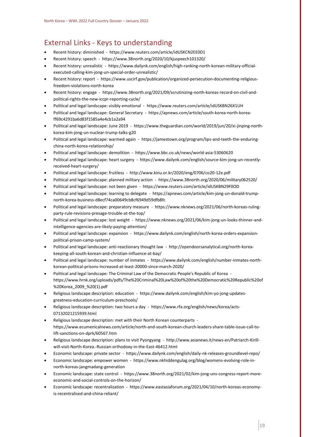## <span id="page-19-0"></span>External Links - Keys to understanding

- Recent history: diminished https://www.reuters.com/article/idUSKCN2EE0D1
- Recent history: speech https://www.38north.org/2020/10/kjuspeech101320/
- Recent history: unrealistic https://www.dailynk.com/english/high-ranking-north-korean-military-officialexecuted-calling-kim-jong-un-special-order-unrealistic/
- Recent history: report https://www.uscirf.gov/publication/organized-persecution-documenting-religiousfreedom-violations-north-korea
- Recent history: engage https://www.38north.org/2021/09/scrutinizing-north-koreas-record-on-civil-andpolitical-rights-the-new-iccpr-reporting-cycle/
- Political and legal landscape: visibly emotional https://www.reuters.com/article/idUSKBN26X1UH
- Political and legal landscape: General Secretary https://apnews.com/article/south-korea-north-koreaff69c4291ba6d83f1585a4e4cb1a2a94
- Political and legal landscape: June 2019 https://www.theguardian.com/world/2019/jun/20/xi-jinping-northkorea-kim-jong-un-nuclear-trump-talks-g20
- Political and legal landscape: warmed again https://jamestown.org/program/lips-and-teeth-the-enduringchina-north-korea-relationship/
- Political and legal landscape: demolition https://www.bbc.co.uk/news/world-asia-53060620
- Political and legal landscape: heart surgery https://www.dailynk.com/english/source-kim-jong-un-recentlyreceived-heart-surgery/
- Political and legal landscape: fruitless http://www.kinu.or.kr/2020/eng/0706/co20-12e.pdf
- Political and legal landscape: planned military action https://www.38north.org/2020/06/military062520/
- Political and legal landscape: not been given https://www.reuters.com/article/idUSKBN29F0OD
- Political and legal landscape: learning to delegate https://apnews.com/article/kim-jong-un-donald-trumpnorth-korea-business-d8ecf74ca00649cb8cf6949d59dfb8fc
- Political and legal landscape: preparatory measure https://www.nknews.org/2021/06/north-koreas-rulingparty-rule-revisions-presage-trouble-at-the-top/
- Political and legal landscape: lost weight https://www.nknews.org/2021/06/kim-jong-un-looks-thinner-andintelligence-agencies-are-likely-paying-attention/
- Political and legal landscape: expansion https://www.dailynk.com/english/north-korea-orders-expansionpolitical-prison-camp-system/
- Political and legal landscape: anti-reactionary thought law http://opendoorsanalytical.org/north-koreakeeping-all-south-korean-and-christian-influence-at-bay/
- Political and legal landscape: number of inmates https://www.dailynk.com/english/number-inmates-northkorean-political-prisons-increased-at-least-20000-since-march-2020/
- Political and legal landscape: The Criminal Law of the Democratic People's Republic of Korea https://www.hrnk.org/uploads/pdfs/The%20Criminal%20Law%20of%20the%20Democratic%20Republic%20of %20Korea\_2009\_%20(1).pdf
- Religious landscape description: education https://www.dailynk.com/english/kim-yo-jong-updatesgreatness-education-curriculum-preschools/
- Religious landscape description: two hours a day https://www.rfa.org/english/news/korea/acts-07132021215939.html
- Religious landscape description: met with their North Korean counterparts https://www.ecumenicalnews.com/article/north-and-south-korean-church-leaders-share-table-issue-call-tolift-sanctions-on-dprk/60567.htm
- Religious landscape description: plans to visit Pyongyang http://www.asianews.it/news-en/Patriarch-Kirillwill-visit-North-Korea.-Russian-orthodoxy-in-the-East-46412.html
- Economic landscape: private sector https://www.dailynk.com/english/daily-nk-releases-groundlevel-repo/
- Economic landscape: empower women https://www.nkhiddengulag.org/blog/womens-evolving-role-innorth-koreas-jangmadang-generation
- Economic landscape: state control https://www.38north.org/2021/02/kim-jong-uns-congress-report-moreeconomic-and-social-controls-on-the-horizon/
- Economic landscape: recentralization https://www.eastasiaforum.org/2021/04/10/north-koreas-economyis-recentralised-and-china-reliant/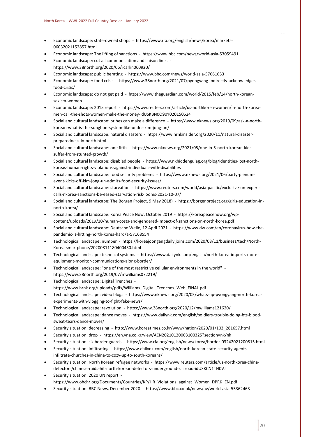- Economic landscape: state-owned shops https://www.rfa.org/english/news/korea/markets-06032021152857.html
- Economic landscape: The lifting of sanctions https://www.bbc.com/news/world-asia-53059491
- Economic landscape: cut all communication and liaison lines https://www.38north.org/2020/06/rcarlin060920/
- Economic landscape: public berating https://www.bbc.com/news/world-asia-57661653
- Economic landscape: food crisis https://www.38north.org/2021/07/pyongyang-indirectly-acknowledgesfood-crisis/
- Economic landscape: do not get paid https://www.theguardian.com/world/2015/feb/14/north-koreansexism-women
- Economic landscape: 2015 report https://www.reuters.com/article/us-northkorea-women/in-north-koreamen-call-the-shots-women-make-the-money-idUSKBN0O90Y020150524
- Social and cultural landscape: bribes can make a difference https://www.nknews.org/2019/09/ask-a-northkorean-what-is-the-songbun-system-like-under-kim-jong-un/
- Social and cultural landscape: natural disasters https://www.hrnkinsider.org/2020/11/natural-disasterpreparedness-in-north.html
- Social and cultural landscape: one fifth https://www.nknews.org/2021/05/one-in-5-north-korean-kidssuffer-from-stunted-growth/
- Social and cultural landscape: disabled people https://www.nkhiddengulag.org/blog/identities-lost-northkoreas-human-rights-violations-against-individuals-with-disabilities
- Social and cultural landscape: food security problems https://www.nknews.org/2021/06/party-plenumevent-kicks-off-kim-jong-un-admits-food-security-issues/
- Social and cultural landscape: starvation https://www.reuters.com/world/asia-pacific/exclusive-un-expertcalls-nkorea-sanctions-be-eased-starvation-risk-looms-2021-10-07/
- Social and cultural landscape: The Borgen Project, 9 May 2018) https://borgenproject.org/girls-education-innorth-korea/
- Social and cultural landscape: Korea Peace Now, October 2019 https://koreapeacenow.org/wpcontent/uploads/2019/10/human-costs-and-gendered-impact-of-sanctions-on-north-korea.pdf
- Social and cultural landscape: Deutsche Welle, 12 April 2021 https://www.dw.com/en/coronavirus-how-thepandemic-is-hitting-north-korea-hard/a-57168554
- Technological landscape: number https://koreajoongangdaily.joins.com/2020/08/11/business/tech/North-Korea-smartphone/20200811180400430.html
- Technological landscape: technical systems https://www.dailynk.com/english/north-korea-imports-moreequipment-monitor-communications-along-border/
- Technological landscape: "one of the most restrictive cellular environments in the world" https://www.38north.org/2019/07/mwilliams072219/
- Technological landscape: Digital Trenches https://www.hrnk.org/uploads/pdfs/Williams\_Digital\_Trenches\_Web\_FINAL.pdf
- Technological landscape: video blogs https://www.nknews.org/2020/05/whats-up-pyongyang-north-koreaexperiments-with-vlogging-to-fight-fake-news/
- Technological landscape: revolution https://www.38north.org/2020/12/mwilliams121620/
- Technological landscape: dance moves https://www.dailynk.com/english/soldiers-trouble-doing-bts-bloodsweat-tears-dance-moves/
- Security situation: decreasing http://www.koreatimes.co.kr/www/nation/2020/01/103\_281657.html
- Security situation: drop https://en.yna.co.kr/view/AEN20210120003100325?section=nk/nk
- Security situation: six border guards https://www.rfa.org/english/news/korea/border-03242021200815.html
- Security situation: infiltrating https://www.dailynk.com/english/north-korean-state-security-agentsinfiltrate-churches-in-china-to-cozy-up-to-south-koreans/
- Security situation: North Korean refugee networks https://www.reuters.com/article/us-northkorea-chinadefectors/chinese-raids-hit-north-korean-defectors-underground-railroad-idUSKCN1TH0VJ
- Security situation: 2020 UN report https://www.ohchr.org/Documents/Countries/KP/HR\_Violations\_against\_Women\_DPRK\_EN.pdf
- Security situation: BBC News, December 2020 https://www.bbc.co.uk/news/av/world-asia-55362463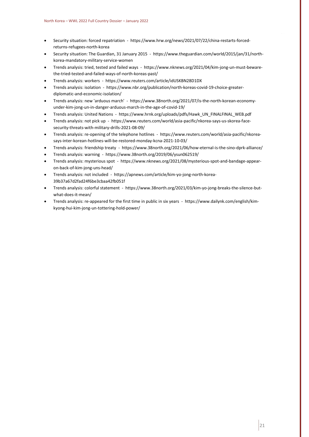- Security situation: forced repatriation https://www.hrw.org/news/2021/07/22/china-restarts-forcedreturns-refugees-north-korea
- Security situation: The Guardian, 31 January 2015 https://www.theguardian.com/world/2015/jan/31/northkorea-mandatory-military-service-women
- Trends analysis: tried, tested and failed ways https://www.nknews.org/2021/04/kim-jong-un-must-bewarethe-tried-tested-and-failed-ways-of-north-koreas-past/
- Trends analysis: workers https://www.reuters.com/article/idUSKBN28D1DX
- Trends analysis: isolation https://www.nbr.org/publication/north-koreas-covid-19-choice-greaterdiplomatic-and-economic-isolation/
- Trends analysis: new 'arduous march' https://www.38north.org/2021/07/is-the-north-korean-economyunder-kim-jong-un-in-danger-arduous-march-in-the-age-of-covid-19/
- Trends analysis: United Nations https://www.hrnk.org/uploads/pdfs/Hawk\_UN\_FINALFINAL\_WEB.pdf
- Trends analysis: not pick up https://www.reuters.com/world/asia-pacific/nkorea-says-us-skorea-facesecurity-threats-with-military-drills-2021-08-09/
- Trends analysis: re-opening of the telephone hotlines https://www.reuters.com/world/asia-pacific/nkoreasays-inter-korean-hotlines-will-be-restored-monday-kcna-2021-10-03/
- Trends analysis: friendship treaty https://www.38north.org/2021/06/how-eternal-is-the-sino-dprk-alliance/
- Trends analysis: warning https://www.38north.org/2019/06/ysun062519/
- Trends analysis: mysterious spot https://www.nknews.org/2021/08/mysterious-spot-and-bandage-appearon-back-of-kim-jong-uns-head/
- Trends analysis: not included https://apnews.com/article/kim-yo-jong-north-korea-39b37a67d2fad24f6be3cbaa42fb051f
- Trends analysis: colorful statement https://www.38north.org/2021/03/kim-yo-jong-breaks-the-silence-butwhat-does-it-mean/
- Trends analysis: re-appeared for the first time in public in six years https://www.dailynk.com/english/kimkyong-hui-kim-jong-un-tottering-hold-power/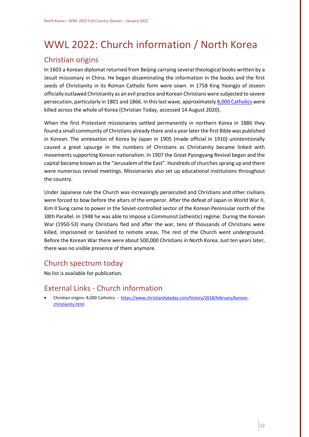# <span id="page-22-0"></span>WWL 2022: Church information / North Korea

## <span id="page-22-1"></span>Christian origins

In 1603 a Korean diplomat returned from Beijing carrying several theological books written by a Jesuit missionary in China. He began disseminating the information in the books and the first seeds of Christianity in its Roman Catholic form were sown. In 1758 King Yeongjo of Joseon officially outlawed Christianity as an evil practice and Korean Christians were subjected to severe persecution, particularly in 1801 and 1866. In this last wave, approximatel[y 8,000 Catholics](https://www.christianitytoday.com/history/2018/february/korean-christianity.html) were killed across the whole of Korea (Christian Today, accessed 14 August 2020).

When the first Protestant missionaries settled permanently in northern Korea in 1886 they found a small community of Christians already there and a year later the first Bible was published in Korean. The annexation of Korea by Japan in 1905 (made official in 1910) unintentionally caused a great upsurge in the numbers of Christians as Christianity became linked with movements supporting Korean nationalism. In 1907 the Great Pyongyang Revival began and the capital became known as the "Jerusalem of the East". Hundreds of churches sprang up and there were numerous revival meetings. Missionaries also set up educational institutions throughout the country.

Under Japanese rule the Church was increasingly persecuted and Christians and other civilians were forced to bow before the altars of the emperor. After the defeat of Japan in World War II, Kim Il Sung came to power in the Soviet-controlled sector of the Korean Peninsular north of the 38th Parallel. In 1948 he was able to impose a Communist (atheistic) regime. During the Korean War (1950-53) many Christians fled and after the war, tens of thousands of Christians were killed, imprisoned or banished to remote areas. The rest of the Church went underground. Before the Korean War there were about 500,000 Christians in North Korea. Just ten years later, there was no visible presence of them anymore.

## <span id="page-22-2"></span>Church spectrum today

No list is available for publication.

## <span id="page-22-3"></span>External Links - Church information

• Christian origins: 8,000 Catholics - [https://www.christianitytoday.com/history/2018/february/korean](https://www.christianitytoday.com/history/2018/february/korean-christianity.html)[christianity.html](https://www.christianitytoday.com/history/2018/february/korean-christianity.html)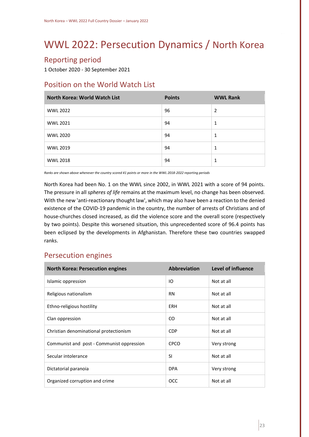# <span id="page-23-0"></span>WWL 2022: Persecution Dynamics / North Korea

# <span id="page-23-1"></span>Reporting period

1 October 2020 - 30 September 2021

# <span id="page-23-2"></span>Position on the World Watch List

| <b>North Korea: World Watch List</b> | <b>Points</b> | <b>WWL Rank</b> |
|--------------------------------------|---------------|-----------------|
| <b>WWL 2022</b>                      | 96            | 2               |
| <b>WWL 2021</b>                      | 94            | 1               |
| <b>WWL 2020</b>                      | 94            | 1               |
| <b>WWL 2019</b>                      | 94            | 1               |
| <b>WWL 2018</b>                      | 94            | 1               |

*Ranks are shown above whenever the country scored 41 points or more in the WWL 2018-2022 reporting periods*

North Korea had been No. 1 on the WWL since 2002, in WWL 2021 with a score of 94 points. The pressure in all *spheres of life* remains at the maximum level, no change has been observed. With the new 'anti-reactionary thought law', which may also have been a reaction to the denied existence of the COVID-19 pandemic in the country, the number of arrests of Christians and of house-churches closed increased, as did the violence score and the overall score (respectively by two points). Despite this worsened situation, this unprecedented score of 96.4 points has been eclipsed by the developments in Afghanistan. Therefore these two countries swapped ranks.

## <span id="page-23-3"></span>Persecution engines

| <b>North Korea: Persecution engines</b>   | <b>Abbreviation</b> | Level of influence |
|-------------------------------------------|---------------------|--------------------|
| Islamic oppression                        | IO                  | Not at all         |
| Religious nationalism                     | <b>RN</b>           | Not at all         |
| Ethno-religious hostility                 | <b>ERH</b>          | Not at all         |
| Clan oppression                           | CO.                 | Not at all         |
| Christian denominational protectionism    | <b>CDP</b>          | Not at all         |
| Communist and post - Communist oppression | <b>CPCO</b>         | Very strong        |
| Secular intolerance                       | <b>SI</b>           | Not at all         |
| Dictatorial paranoia                      | <b>DPA</b>          | Very strong        |
| Organized corruption and crime            | <b>OCC</b>          | Not at all         |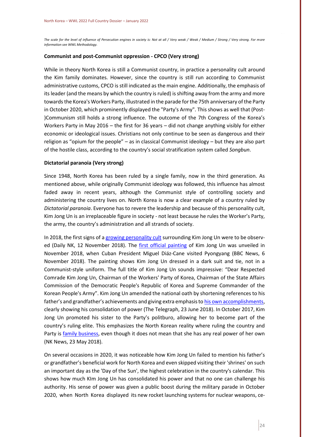*The scale for the level of influence of Persecution engines in society is: Not at all / Very weak / Weak / Medium / Strong / Very strong. For more information see WWL Methodology.*

#### **Communist and post-Communist oppression - CPCO (Very strong)**

While in theory North Korea is still a Communist country, in practice a personality cult around the Kim family dominates. However, since the country is still run according to Communist administrative customs, CPCO is still indicated as the main engine. Additionally, the emphasis of its leader (and the means by which the country is ruled) is shifting away from the army and more towards the Korea's Workers Party, illustrated in the parade for the 75th anniversary of the Party in October 2020, which prominently displayed the "Party's Army". This shows as well that (Post- )Communism still holds a strong influence. The outcome of the 7th Congress of the Korea's Workers Party in May 2016 – the first for 36 years – did not change anything visibly for either economic or ideological issues. Christians not only continue to be seen as dangerous and their religion as "opium for the people" – as in classical Communist ideology – but they are also part of the hostile class, according to the country's social stratification system called *Songbun*.

#### **Dictatorial paranoia (Very strong)**

Since 1948, North Korea has been ruled by a single family, now in the third generation. As mentioned above, while originally Communist ideology was followed, this influence has almost faded away in recent years, although the Communist style of controlling society and administering the country lives on. North Korea is now a clear example of a country ruled by *Dictatorial paranoia*. Everyone has to revere the leadership and because of this personality cult, Kim Jong Un is an irreplaceable figure in society - not least because he rules the Worker's Party, the army, the country's administration and all strands of society.

In 2018, the first signs of [a growing personality cult](https://www.dailynk.com/english/efforts-ramp-up-to-promote-kim-jong-un-personality-cult/) surrounding Kim Jong Un were to be observed (Daily NK, 12 November 2018). The [first official painting](https://www.bbc.com/news/world-asia-46106393) of Kim Jong Un was unveiled in November 2018, when Cuban President Miguel Diáz-Cane visited Pyongyang (BBC News, 6 November 2018). The painting shows Kim Jong Un dressed in a dark suit and tie, not in a Communist-style uniform. The full title of Kim Jong Un sounds impressive: "Dear Respected Comrade Kim Jong Un, Chairman of the Workers' Party of Korea, Chairman of the State Affairs Commission of the Democratic People's Republic of Korea and Supreme Commander of the Korean People's Army". Kim Jong Un amended the national oath by shortening references to his father's and grandfather's achievements and giving extra emphasis to [his own accomplishments,](https://www.telegraph.co.uk/news/2018/06/23/kim-jong-un-introduces-new-mandatory-national-oath-erasing-father/) clearly showing his consolidation of power (The Telegraph, 23 June 2018). In October 2017, Kim Jong Un promoted his sister to the Party's politburo, allowing her to become part of the country's ruling elite. This emphasizes the North Korean reality where ruling the country and Party is [family business,](https://www.nknews.org/2018/05/what-will-become-of-kim-yo-jong/) even though it does not mean that she has any real power of her own (NK News, 23 May 2018).

On several occasions in 2020, it was noticeable how Kim Jong Un failed to mention his father's or grandfather's beneficial work for North Korea and even skipped visiting their 'shrines' on such an important day as the 'Day of the Sun', the highest celebration in the country's calendar. This shows how much KIm Jong Un has consolidated his power and that no one can challenge his authority. His sense of power was given a public boost during the military parade in October 2020, when North Korea displayed its new rocket launching systems for nuclear weapons, ce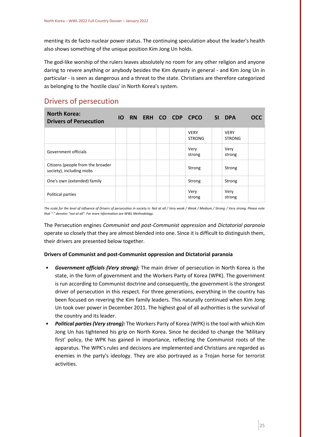menting its de facto nuclear power status. The continuing speculation about the leader's health also shows something of the unique position Kim Jong Un holds.

The god-like worship of the rulers leaves absolutely no room for any other religion and anyone daring to revere anything or anybody besides the Kim dynasty in general - and Kim Jong Un in particular - is seen as dangerous and a threat to the state. Christians are therefore categorized as belonging to the 'hostile class' in North Korea's system.

# <span id="page-25-0"></span>Drivers of persecution

| <b>North Korea:</b><br><b>Drivers of Persecution</b>          |  | <b>IO RN ERH CO CDP</b> |  | <b>CPCO</b>                  | <b>SI</b> | <b>DPA</b>                   | <b>OCC</b> |
|---------------------------------------------------------------|--|-------------------------|--|------------------------------|-----------|------------------------------|------------|
|                                                               |  |                         |  | <b>VERY</b><br><b>STRONG</b> |           | <b>VERY</b><br><b>STRONG</b> |            |
| Government officials                                          |  |                         |  | Very<br>strong               |           | Very<br>strong               |            |
| Citizens (people from the broader<br>society), including mobs |  |                         |  | Strong                       |           | Strong                       |            |
| One's own (extended) family                                   |  |                         |  | Strong                       |           | Strong                       |            |
| Political parties                                             |  |                         |  | Very<br>strong               |           | Very<br>strong               |            |

*The scale for the level of influence of Drivers of persecution in society is: Not at all / Very weak / Weak / Medium / Strong / Very strong. Please note that "-" denotes "not at all". For more information see WWL Methodology.*

The Persecution engines *Communist and post-Communist oppression* and *Dictatorial paranoia* operate so closely that they are almost blended into one. Since it is difficult to distinguish them, their drivers are presented below together.

#### **Drivers of Communist and post-Communist oppression and Dictatorial paranoia**

- *Government officials (Very strong):* The main driver of persecution in North Korea is the state, in the form of government and the Workers Party of Korea (WPK). The government is run according to Communist doctrine and consequently, the government is the strongest driver of persecution in this respect. For three generations, everything in the country has been focused on revering the Kim family leaders. This naturally continued when Kim Jong Un took over power in December 2011. The highest goal of all authorities is the survival of the country and its leader.
- *Political parties (Very strong):* The Workers Party of Korea (WPK) is the tool with which Kim Jong Un has tightened his grip on North Korea. Since he decided to change the 'Military first' policy, the WPK has gained in importance, reflecting the Communist roots of the apparatus. The WPK's rules and decisions are implemented and Christians are regarded as enemies in the party's ideology. They are also portrayed as a Trojan horse for terrorist activities.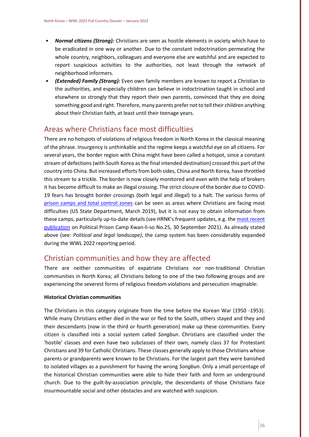- *Normal citizens (Strong):* Christians are seen as hostile elements in society which have to be eradicated in one way or another. Due to the constant indoctrination permeating the whole country, neighbors, colleagues and everyone else are watchful and are expected to report suspicious activities to the authorities, not least through the network of neighborhood informers.
- *(Extended) Family (Strong):* Even own family members are known to report a Christian to the authorities, and especially children can believe in indoctrination taught in school and elsewhere so strongly that they report their own parents, convinced that they are doing something good and right. Therefore, many parents prefer not to tell their children anything about their Christian faith, at least until their teenage years.

## <span id="page-26-0"></span>Areas where Christians face most difficulties

There are no hotspots of violations of religious freedom in North Korea in the classical meaning of the phrase. Insurgency is unthinkable and the regime keeps a watchful eye on all citizens. For several years, the border region with China might have been called a hotspot, since a constant stream of defections (with South Korea as the final intended destination) crossed this part of the country into China. But increased efforts from both sides, China and North Korea, have throttled this stream to a trickle. The border is now closely monitored and even with the help of brokers it has become difficult to make an illegal crossing. The strict closure of the border due to COVID-19 fears has brought border crossings (both legal and illegal) to a halt. The various forms of [prison camps and total control zones](https://www.state.gov/wp-content/uploads/2019/03/Prisons-of-North-Korea-English.pdf) can be seen as areas where Christians are facing most difficulties (US State Department, March 2019), but it is not easy to obtain information from these camps, particularly up-to-date details (see HRNK's frequent updates, e.g. th[e most recent](https://www.hrnk.org/uploads/pdfs/Bermudez_KLS25_FINAL.pdf)  [publication](https://www.hrnk.org/uploads/pdfs/Bermudez_KLS25_FINAL.pdf) on Political Prison Camp Kwan-li-so No.25, 30 September 2021). As already stated above (see: *Political and legal landscape)*, the camp system has been considerably expanded during the WWL 2022 reporting period.

## <span id="page-26-1"></span>Christian communities and how they are affected

There are neither communities of expatriate Christians nor non-traditional Christian communities in North Korea; all Christians belong to one of the two following groups and are experiencing the severest forms of religious freedom violations and persecution imaginable:

#### **Historical Christian communities**

The Christians in this category originate from the time before the Korean War (1950 -1953). While many Christians either died in the war or fled to the South, others stayed and they and their descendants (now in the third or fourth generation) make up these communities. Every citizen is classified into a social system called *Songbun*. Christians are classified under the 'hostile' classes and even have two subclasses of their own, namely class 37 for Protestant Christians and 39 for Catholic Christians. These classes generally apply to those Christians whose parents or grandparents were known to be Christians. For the largest part they were banished to isolated villages as a punishment for having the wrong *Songbun*. Only a small percentage of the historical Christian communities were able to hide their faith and form an underground church. Due to the guilt-by-association principle, the descendants of those Christians face insurmountable social and other obstacles and are watched with suspicion.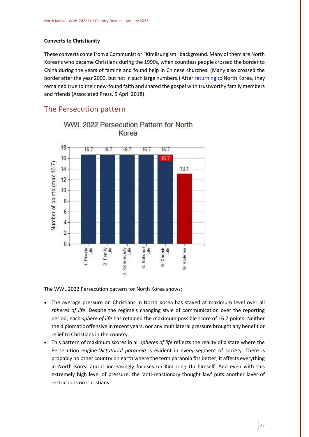#### **Converts to Christianity**

These converts come from a Communist or "Kimilsungism" background. Many of them are North Koreans who became Christians during the 1990s, when countless people crossed the border to China during the years of famine and found help in Chinese churches. (Many also crossed the border after the year 2000, but not in such large numbers.) Afte[r returning](http://https/apnews.com/d04acf4a138545b692ebd530d832c218/Missionaries-at-border-spread-Christianity-to-North-Korea) to North Korea, they remained true to their new-found faith and shared the gospel with trustworthy family members and friends (Associated Press, 5 April 2018).

## <span id="page-27-0"></span>The Persecution pattern



WWL 2022 Persecution Pattern for North Korea

The WWL 2022 Persecution pattern for North Korea shows:

- The average pressure on Christians in North Korea has stayed at maximum level over all *spheres of life*. Despite the regime's changing style of communication over the reporting period, each *sphere of life* has retained the maximum possible score of 16.7 points. Neither the diplomatic offensive in recent years, nor any multilateral pressure brought any benefit or relief to Christians in the country.
- This pattern of maximum scores in all *spheres of life* reflects the reality of a state where the Persecution engine *Dictatorial paranoia* is evident in every segment of society. There is probably no other country on earth where the term paranoia fits better; it affects everything in North Korea and it increasingly focuses on Kim Jong Un himself. And even with this extremely high level of pressure, the 'anti-reactionary thought law' puts another layer of restrictions on Christians.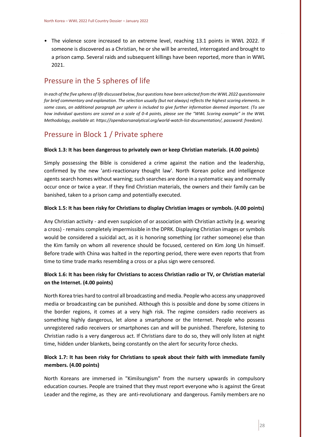• The violence score increased to an extreme level, reaching 13.1 points in WWL 2022. If someone is discovered as a Christian, he or she will be arrested, interrogated and brought to a prison camp. Several raids and subsequent killings have been reported, more than in WWL 2021.

## <span id="page-28-0"></span>Pressure in the 5 spheres of life

*In each of the five spheres of life discussed below, four questions have been selected from the WWL 2022 questionnaire for brief commentary and explanation. The selection usually (but not always) reflects the highest scoring elements. In some cases, an additional paragraph per sphere is included to give further information deemed important. (To see how individual questions are scored on a scale of 0-4 points, please see the "WWL Scoring example" in the WWL Methodology, available at: https://opendoorsanalytical.org/world-watch-list-documentation/, password: freedom).*

## Pressure in Block 1 / Private sphere

#### **Block 1.3: It has been dangerous to privately own or keep Christian materials. (4.00 points)**

Simply possessing the Bible is considered a crime against the nation and the leadership, confirmed by the new 'anti-reactionary thought law'. North Korean police and intelligence agents search homes without warning; such searches are done in a systematic way and normally occur once or twice a year. If they find Christian materials, the owners and their family can be banished, taken to a prison camp and potentially executed.

#### **Block 1.5: It has been risky for Christians to display Christian images or symbols. (4.00 points)**

Any Christian activity - and even suspicion of or association with Christian activity (e.g. wearing a cross) - remains completely impermissible in the DPRK. Displaying Christian images or symbols would be considered a suicidal act, as it is honoring something (or rather someone) else than the Kim family on whom all reverence should be focused, centered on Kim Jong Un himself. Before trade with China was halted in the reporting period, there were even reports that from time to time trade marks resembling a cross or a plus sign were censored.

#### **Block 1.6: It has been risky for Christians to access Christian radio or TV, or Christian material on the Internet. (4.00 points)**

North Korea tries hard to control all broadcasting and media. People who access any unapproved media or broadcasting can be punished. Although this is possible and done by some citizens in the border regions, it comes at a very high risk. The regime considers radio receivers as something highly dangerous, let alone a smartphone or the Internet. People who possess unregistered radio receivers or smartphones can and will be punished. Therefore, listening to Christian radio is a very dangerous act. If Christians dare to do so, they will only listen at night time, hidden under blankets, being constantly on the alert for security force checks.

#### **Block 1.7: It has been risky for Christians to speak about their faith with immediate family members. (4.00 points)**

North Koreans are immersed in "Kimilsungism" from the nursery upwards in compulsory education courses. People are trained that they must report everyone who is against the Great Leader and the regime, as they are anti-revolutionary and dangerous. Family members are no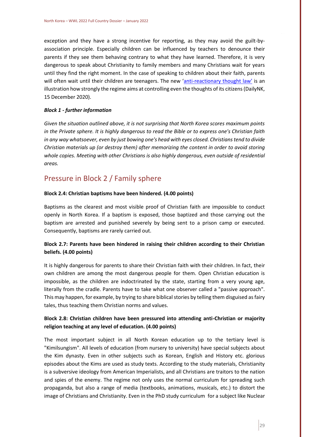exception and they have a strong incentive for reporting, as they may avoid the guilt-byassociation principle. Especially children can be influenced by teachers to denounce their parents if they see them behaving contrary to what they have learned. Therefore, it is very dangerous to speak about Christianity to family members and many Christians wait for years until they find the right moment. In the case of speaking to children about their faith, parents will often wait until their children are teenagers. The new '[anti-reactionary thought law](https://www.dailynk.com/english/deep-dive-north-korea-new-anti-reactionary-thought-law/)' is an illustration how strongly the regime aims at controlling even the thoughts of its citizens (DailyNK, 15 December 2020).

#### *Block 1 - further information*

*Given the situation outlined above, it is not surprising that North Korea scores maximum points in the Private sphere. It is highly dangerous to read the Bible or to express one's Christian faith in any way whatsoever, even by just bowing one's head with eyes closed. Christians tend to divide Christian materials up (or destroy them) after memorizing the content in order to avoid storing whole copies. Meeting with other Christians is also highly dangerous, even outside of residential areas.*

## Pressure in Block 2 / Family sphere

#### **Block 2.4: Christian baptisms have been hindered. (4.00 points)**

Baptisms as the clearest and most visible proof of Christian faith are impossible to conduct openly in North Korea. If a baptism is exposed, those baptized and those carrying out the baptism are arrested and punished severely by being sent to a prison camp or executed. Consequently, baptisms are rarely carried out.

#### **Block 2.7: Parents have been hindered in raising their children according to their Christian beliefs. (4.00 points)**

It is highly dangerous for parents to share their Christian faith with their children. In fact, their own children are among the most dangerous people for them. Open Christian education is impossible, as the children are indoctrinated by the state, starting from a very young age, literally from the cradle. Parents have to take what one observer called a "passive approach". This may happen, for example, by trying to share biblical stories by telling them disguised as fairy tales, thus teaching them Christian norms and values.

#### **Block 2.8: Christian children have been pressured into attending anti-Christian or majority religion teaching at any level of education. (4.00 points)**

The most important subject in all North Korean education up to the tertiary level is "Kimilsungism". All levels of education (from nursery to university) have special subjects about the Kim dynasty. Even in other subjects such as Korean, English and History etc. glorious episodes about the Kims are used as study texts. According to the study materials, Christianity is a subversive ideology from American Imperialists, and all Christians are traitors to the nation and spies of the enemy. The regime not only uses the normal curriculum for spreading such propaganda, but also a range of media (textbooks, animations, musicals, etc.) to distort the image of Christians and Christianity. Even in the PhD study curriculum for a subject like Nuclear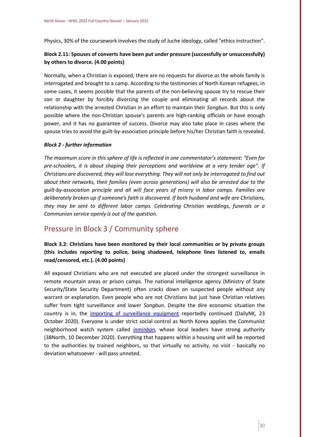Physics, 30% of the coursework involves the study of Juche ideology, called "ethics instruction".

#### **Block 2.11: Spouses of converts have been put under pressure (successfully or unsuccessfully) by others to divorce. (4.00 points)**

Normally, when a Christian is exposed, there are no requests for divorce as the whole family is interrogated and brought to a camp. According to the testimonies of North Korean refugees, in some cases, it seems possible that the parents of the non-believing spouse try to rescue their son or daughter by forcibly divorcing the couple and eliminating all records about the relationship with the arrested Christian in an effort to maintain their *Songbun*. But this is only possible where the non-Christian spouse's parents are high-ranking officials or have enough power, and it has no guarantee of success. Divorce may also take place in cases where the spouse tries to avoid the guilt-by-association principle before his/her Christian faith is revealed.

#### *Block 2 - further information*

*The maximum score in this sphere of life is reflected in one commentator's statement: "Even for pre-schoolers, it is about shaping their perceptions and worldview at a very tender age". If Christians are discovered, they will lose everything. They will not only be interrogated to find out about their networks, their families (even across generations) will also be arrested due to the guilt-by-association principle and all will face years of misery in labor camps. Families are deliberately broken up if someone's faith is discovered. If both husband and wife are Christians, they may be sent to different labor camps. Celebrating Christian weddings, funerals or a Communion service openly is out of the question.*

## Pressure in Block 3 / Community sphere

#### **Block 3.2: Christians have been monitored by their local communities or by private groups (this includes reporting to police, being shadowed, telephone lines listened to, emails read/censored, etc.). (4.00 points)**

All exposed Christians who are not executed are placed under the strongest surveillance in remote mountain areas or prison camps. The national intelligence agency (Ministry of State Security/State Security Department) often cracks down on suspected people without any warrant or explanation. Even people who are not Christians but just have Christian relatives suffer from tight surveillance and lower *Songbun*. Despite the dire economic situation the country is in, the [importing of surveillance equipment](https://www.dailynk.com/english/north-korea-imports-more-equipment-monitor-communications-along-border/) reportedly continued (DailyNK, 23 October 2020). Everyone is under strict social control as North Korea applies the Communist neighborhood watch system called *[inminban](https://www.38north.org/2020/12/ddraudt121020/)*, whose local leaders have strong authority (38North, 10 December 2020). Everything that happens within a housing unit will be reported to the authorities by trained neighbors, so that virtually no activity, no visit - basically no deviation whatsoever - will pass unnoted.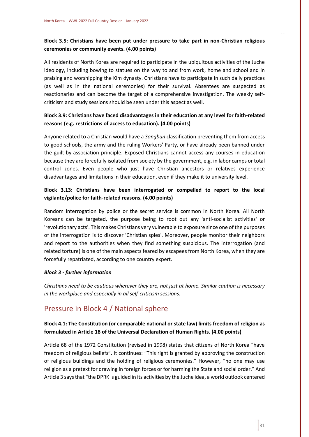### **Block 3.5: Christians have been put under pressure to take part in non-Christian religious ceremonies or community events. (4.00 points)**

All residents of North Korea are required to participate in the ubiquitous activities of the Juche ideology, including bowing to statues on the way to and from work, home and school and in praising and worshipping the Kim dynasty. Christians have to participate in such daily practices (as well as in the national ceremonies) for their survival. Absentees are suspected as reactionaries and can become the target of a comprehensive investigation. The weekly selfcriticism and study sessions should be seen under this aspect as well.

### **Block 3.9: Christians have faced disadvantages in their education at any level for faith-related reasons (e.g. restrictions of access to education). (4.00 points)**

Anyone related to a Christian would have a *Songbun* classification preventing them from access to good schools, the army and the ruling Workers' Party, or have already been banned under the guilt-by-association principle. Exposed Christians cannot access any courses in education because they are forcefully isolated from society by the government, e.g. in labor camps or total control zones. Even people who just have Christian ancestors or relatives experience disadvantages and limitations in their education, even if they make it to university level.

### **Block 3.13: Christians have been interrogated or compelled to report to the local vigilante/police for faith-related reasons. (4.00 points)**

Random interrogation by police or the secret service is common in North Korea. All North Koreans can be targeted, the purpose being to root out any 'anti-socialist activities' or 'revolutionary acts'. This makes Christians very vulnerable to exposure since one of the purposes of the interrogation is to discover 'Christian spies'. Moreover, people monitor their neighbors and report to the authorities when they find something suspicious. The interrogation (and related torture) is one of the main aspects feared by escapees from North Korea, when they are forcefully repatriated, according to one country expert.

#### *Block 3 - further information*

*Christians need to be cautious wherever they are, not just at home. Similar caution is necessary in the workplace and especially in all self-criticism sessions.*

## Pressure in Block 4 / National sphere

#### **Block 4.1: The Constitution (or comparable national or state law) limits freedom of religion as formulated in Article 18 of the Universal Declaration of Human Rights. (4.00 points)**

Article 68 of the 1972 Constitution (revised in 1998) states that citizens of North Korea "have freedom of religious beliefs". It continues: "This right is granted by approving the construction of religious buildings and the holding of religious ceremonies." However, "no one may use religion as a pretext for drawing in foreign forces or for harming the State and social order." And Article 3 says that "the DPRK is guided in its activities by the Juche idea, a world outlook centered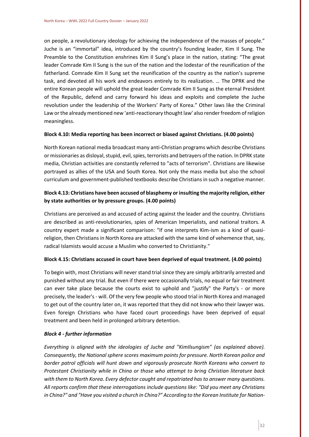on people, a revolutionary ideology for achieving the independence of the masses of people." Juche is an "immortal" idea, introduced by the country's founding leader, Kim Il Sung. The Preamble to the Constitution enshrines Kim Il Sung's place in the nation, stating: "The great leader Comrade Kim II Sung is the sun of the nation and the lodestar of the reunification of the fatherland. Comrade Kim II Sung set the reunification of the country as the nation's supreme task, and devoted all his work and endeavors entirely to its realization. … The DPRK and the entire Korean people will uphold the great leader Comrade Kim II Sung as the eternal President of the Republic, defend and carry forward his ideas and exploits and complete the Juche revolution under the leadership of the Workers' Party of Korea." Other laws like the Criminal Law or the already mentioned new 'anti-reactionary thought law' also render freedom of religion meaningless.

#### **Block 4.10: Media reporting has been incorrect or biased against Christians. (4.00 points)**

North Korean national media broadcast many anti-Christian programs which describe Christians or missionaries as disloyal, stupid, evil, spies, terrorists and betrayers of the nation. In DPRK state media, Christian activities are constantly referred to "acts of terrorism". Christians are likewise portrayed as allies of the USA and South Korea. Not only the mass media but also the school curriculum and government-published textbooks describe Christians in such a negative manner.

#### **Block 4.13: Christians have been accused of blasphemy or insulting the majority religion, either by state authorities or by pressure groups. (4.00 points)**

Christians are perceived as and accused of acting against the leader and the country. Christians are described as anti-revolutionaries, spies of American Imperialists, and national traitors. A country expert made a significant comparison: "If one interprets Kim-ism as a kind of quasireligion, then Christians in North Korea are attacked with the same kind of vehemence that, say, radical Islamists would accuse a Muslim who converted to Christianity."

#### **Block 4.15: Christians accused in court have been deprived of equal treatment. (4.00 points)**

To begin with, most Christians will never stand trial since they are simply arbitrarily arrested and punished without any trial. But even if there were occasionally trials, no equal or fair treatment can ever take place because the courts exist to uphold and "justify" the Party's - or more precisely, the leader's - will. Of the very few people who stood trial in North Korea and managed to get out of the country later on, it was reported that they did not know who their lawyer was. Even foreign Christians who have faced court proceedings have been deprived of equal treatment and been held in prolonged arbitrary detention.

#### *Block 4 - further information*

*Everything is aligned with the ideologies of Juche and "KimIlsungism" (as explained above). Consequently, the National sphere scores maximum points for pressure. North Korean police and border patrol officials will hunt down and vigorously prosecute North Koreans who convert to Protestant Christianity while in China or those who attempt to bring Christian literature back with them to North Korea. Every defector caught and repatriated has to answer many questions. All reports confirm that these interrogations include questions like: "Did you meet any Christians in China?" and "Have you visited a church in China?" According to the Korean Institute for Nation-*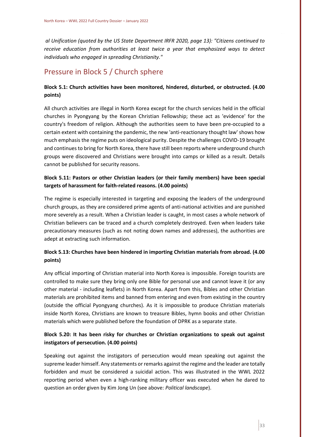*al Unification (quoted by the US State Department IRFR 2020, page 13): "Citizens continued to receive education from authorities at least twice a year that emphasized ways to detect individuals who engaged in spreading Christianity."*

# Pressure in Block 5 / Church sphere

### **Block 5.1: Church activities have been monitored, hindered, disturbed, or obstructed. (4.00 points)**

All church activities are illegal in North Korea except for the church services held in the official churches in Pyongyang by the Korean Christian Fellowship; these act as 'evidence' for the country's freedom of religion. Although the authorities seem to have been pre-occupied to a certain extent with containing the pandemic, the new 'anti-reactionary thought law' shows how much emphasis the regime puts on ideological purity. Despite the challenges COVID-19 brought and continues to bring for North Korea, there have still been reports where underground church groups were discovered and Christians were brought into camps or killed as a result. Details cannot be published for security reasons.

### **Block 5.11: Pastors or other Christian leaders (or their family members) have been special targets of harassment for faith-related reasons. (4.00 points)**

The regime is especially interested in targeting and exposing the leaders of the underground church groups, as they are considered prime agents of anti-national activities and are punished more severely as a result. When a Christian leader is caught, in most cases a whole network of Christian believers can be traced and a church completely destroyed. Even when leaders take precautionary measures (such as not noting down names and addresses), the authorities are adept at extracting such information.

### **Block 5.13: Churches have been hindered in importing Christian materials from abroad. (4.00 points)**

Any official importing of Christian material into North Korea is impossible. Foreign tourists are controlled to make sure they bring only one Bible for personal use and cannot leave it (or any other material - including leaflets) in North Korea. Apart from this, Bibles and other Christian materials are prohibited items and banned from entering and even from existing in the country (outside the official Pyongyang churches). As it is impossible to produce Christian materials inside North Korea, Christians are known to treasure Bibles, hymn books and other Christian materials which were published before the foundation of DPRK as a separate state.

### **Block 5.20: It has been risky for churches or Christian organizations to speak out against instigators of persecution. (4.00 points)**

Speaking out against the instigators of persecution would mean speaking out against the supreme leader himself. Any statements or remarks against the regime and the leader are totally forbidden and must be considered a suicidal action. This was illustrated in the WWL 2022 reporting period when even a high-ranking military officer was executed when he dared to question an order given by Kim Jong Un (see above: *Political landscape*).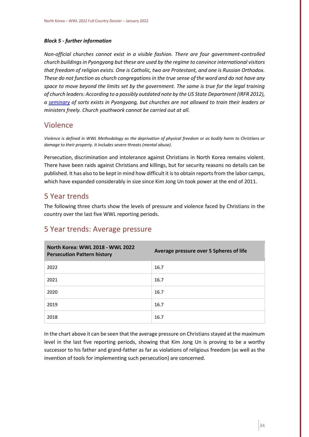#### *Block 5 - further information*

*Non-official churches cannot exist in a visible fashion. There are four government-controlled church buildings in Pyongyang but these are used by the regime to convince international visitors that freedom of religion exists. One is Catholic, two are Protestant, and one is Russian Orthodox. These do not function as church congregations in the true sense of the word and do not have any space to move beyond the limits set by the government. The same is true for the legal training of church leaders: According to a possibly outdated note by the US State Department (IRFR 2012), a [seminary](https://2009-2017.state.gov/j/drl/rls/irf/2012/eap/208238.htm) of sorts exists in Pyongyang, but churches are not allowed to train their leaders or ministers freely. Church youthwork cannot be carried out at all.*

## <span id="page-34-0"></span>Violence

*Violence is defined in WWL Methodology as the deprivation of physical freedom or as bodily harm to Christians or damage to their property. It includes severe threats (mental abuse).* 

Persecution, discrimination and intolerance against Christians in North Korea remains violent. There have been raids against Christians and killings, but for security reasons no details can be published. It has also to be kept in mind how difficult it is to obtain reports from the labor camps, which have expanded considerably in size since Kim Jong Un took power at the end of 2011.

## <span id="page-34-1"></span>5 Year trends

The following three charts show the levels of pressure and violence faced by Christians in the country over the last five WWL reporting periods.

| <b>North Korea: WWL 2018 - WWL 2022</b><br><b>Persecution Pattern history</b> | Average pressure over 5 Spheres of life |
|-------------------------------------------------------------------------------|-----------------------------------------|
| 2022                                                                          | 16.7                                    |
| 2021                                                                          | 16.7                                    |
| 2020                                                                          | 16.7                                    |
| 2019                                                                          | 16.7                                    |
| 2018                                                                          | 16.7                                    |

## 5 Year trends: Average pressure

In the chart above it can be seen that the average pressure on Christians stayed at the maximum level in the last five reporting periods, showing that Kim Jong Un is proving to be a worthy successor to his father and grand-father as far as violations of religious freedom (as well as the invention of tools for implementing such persecution) are concerned.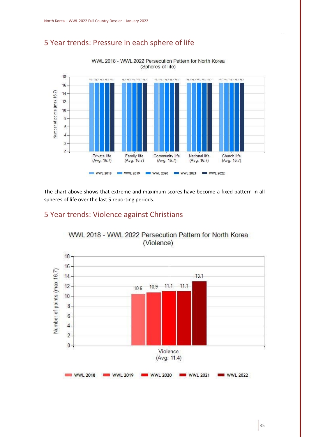# 5 Year trends: Pressure in each sphere of life



The chart above shows that extreme and maximum scores have become a fixed pattern in all spheres of life over the last 5 reporting periods.

## 5 Year trends: Violence against Christians



WWL 2018 - WWL 2022 Persecution Pattern for North Korea (Violence)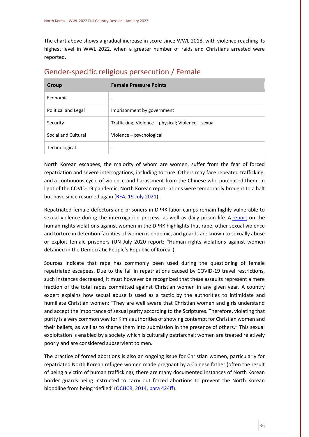The chart above shows a gradual increase in score since WWL 2018, with violence reaching its highest level in WWL 2022, when a greater number of raids and Christians arrested were reported.

| Group               | <b>Female Pressure Points</b>                       |
|---------------------|-----------------------------------------------------|
| Economic            | $\overline{\phantom{a}}$                            |
| Political and Legal | Imprisonment by government                          |
| Security            | Trafficking; Violence - physical; Violence - sexual |
| Social and Cultural | Violence – psychological                            |
| Technological       | ٠                                                   |

### <span id="page-36-0"></span>Gender-specific religious persecution / Female

North Korean escapees, the majority of whom are women, suffer from the fear of forced repatriation and severe interrogations, including torture. Others may face repeated trafficking, and a continuous cycle of violence and harassment from the Chinese who purchased them. In light of the COVID-19 pandemic, North Korean repatriations were temporarily brought to a halt but have since resumed again (RFA, 19 [July 2021\)](https://www.rfa.org/english/news/korea/repatriation-07192021195626.html).

Repatriated female defectors and prisoners in DPRK labor camps remain highly vulnerable to sexual violence during the interrogation process, as well as daily prison life. A [report](https://www.ohchr.org/Documents/Countries/KP/HR_Violations_against_Women_DPRK_EN.pdf) on the human rights violations against women in the DPRK highlights that rape, other sexual violence and torture in detention facilities of women is endemic, and guards are known to sexually abuse or exploit female prisoners (UN July 2020 report: "Human rights violations against women detained in the Democratic People's Republic of Korea"). 

Sources indicate that rape has commonly been used during the questioning of female repatriated escapees. Due to the fall in repatriations caused by COVID-19 travel restrictions, such instances decreased, it must however be recognized that these assaults represent a mere fraction of the total rapes committed against Christian women in any given year. A country expert explains how sexual abuse is used as a tactic by the authorities to intimidate and humiliate Christian women: "They are well aware that Christian women and girls understand and accept the importance of sexual purity according to the Scriptures. Therefore, violating that purity is a very common way for Kim's authorities of showing contempt for Christian women and their beliefs, as well as to shame them into submission in the presence of others." This sexual exploitation is enabled by a society which is culturally patriarchal; women are treated relatively poorly and are considered subservient to men.

The practice of forced abortions is also an ongoing issue for Christian women, particularly for repatriated North Korean refugee women made pregnant by a Chinese father (often the result of being a victim of human trafficking); there are many documented instances of North Korean border guards being instructed to carry out forced abortions to prevent the North Korean bloodline from being 'defiled' ([OCHCR, 2014, para 424ff\)](https://www.ohchr.org/EN/HRBodies/HRC/CoIDPRK/Pages/ReportoftheCommissionofInquiryDPRK.aspx).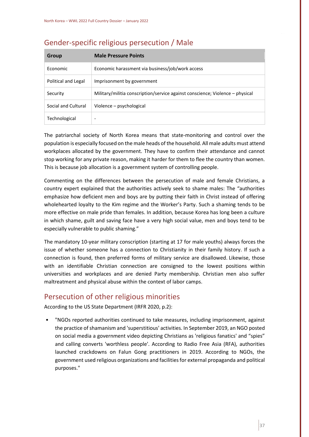| Group               | <b>Male Pressure Points</b>                                                   |
|---------------------|-------------------------------------------------------------------------------|
| <b>Economic</b>     | Economic harassment via business/job/work access                              |
| Political and Legal | Imprisonment by government                                                    |
| Security            | Military/militia conscription/service against conscience; Violence – physical |
| Social and Cultural | Violence – psychological                                                      |
| Technological       | ۰                                                                             |

## <span id="page-37-0"></span>Gender-specific religious persecution / Male

The patriarchal society of North Korea means that state-monitoring and control over the population is especially focused on the male heads of the household. All male adults must attend workplaces allocated by the government. They have to confirm their attendance and cannot stop working for any private reason, making it harder for them to flee the country than women. This is because job allocation is a government system of controlling people.

Commenting on the differences between the persecution of male and female Christians, a country expert explained that the authorities actively seek to shame males: The "authorities emphasize how deficient men and boys are by putting their faith in Christ instead of offering wholehearted loyalty to the Kim regime and the Worker's Party. Such a shaming tends to be more effective on male pride than females. In addition, because Korea has long been a culture in which shame, guilt and saving face have a very high social value, men and boys tend to be especially vulnerable to public shaming."

The mandatory 10-year military conscription (starting at 17 for male youths) always forces the issue of whether someone has a connection to Christianity in their family history. If such a connection is found, then preferred forms of military service are disallowed. Likewise, those with an identifiable Christian connection are consigned to the lowest positions within universities and workplaces and are denied Party membership. Christian men also suffer maltreatment and physical abuse within the context of labor camps.

## <span id="page-37-1"></span>Persecution of other religious minorities

According to the US State Department (IRFR 2020, p.2):

• "NGOs reported authorities continued to take measures, including imprisonment, against the practice of shamanism and 'superstitious' activities. In September 2019, an NGO posted on social media a government video depicting Christians as 'religious fanatics' and "spies" and calling converts 'worthless people'. According to Radio Free Asia (RFA), authorities launched crackdowns on Falun Gong practitioners in 2019. According to NGOs, the government used religious organizations and facilities for external propaganda and political purposes."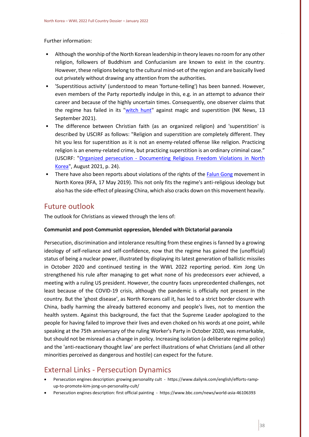Further information:

- Although the worship of the North Korean leadership in theory leaves no room for any other religion, followers of Buddhism and Confucianism are known to exist in the country. However, these religions belong to the cultural mind-set of the region and are basically lived out privately without drawing any attention from the authorities.
- 'Superstitious activity' (understood to mean 'fortune-telling') has been banned. However, even members of the Party reportedly indulge in this, e.g. in an attempt to advance their career and because of the highly uncertain times. Consequently, one observer claims that the regime has failed in its ["witch hunt"](https://www.nknews.org/2021/09/the-kim-regimes-failed-witch-hunt-against-magic-and-superstition/) against magic and superstition (NK News, 13 September 2021).
- The difference between Christian faith (as an organized religion) and 'superstition' is described by USCIRF as follows: "Religion and superstition are completely different. They hit you less for superstition as it is not an enemy-related offense like religion. Practicing religion is an enemy-related crime, but practicing superstition is an ordinary criminal case." (USCIRF: "Organized persecution - [Documenting Religious Freedom Violations in North](https://www.uscirf.gov/sites/default/files/2021-08/2021%20Organized%20Persecution%20-%20Documenting%20Religious%20Freedom%20Violations%20in%20North%20Korea.pdf)  [Korea"](https://www.uscirf.gov/sites/default/files/2021-08/2021%20Organized%20Persecution%20-%20Documenting%20Religious%20Freedom%20Violations%20in%20North%20Korea.pdf), August 2021, p. 24).
- There have also been reports about violations of the rights of the [Falun Gong](https://www.rfa.org/english/news/korea/nk-falun-gong-05172019164536.html) movement in North Korea (RFA, 17 May 2019). This not only fits the regime's anti-religious ideology but also has the side-effect of pleasing China, which also cracks down on this movement heavily.

## <span id="page-38-0"></span>Future outlook

The outlook for Christians as viewed through the lens of:

#### **Communist and post-Communist oppression, blended with Dictatorial paranoia**

Persecution, discrimination and intolerance resulting from these engines is fanned by a growing ideology of self-reliance and self-confidence, now that the regime has gained the (unofficial) status of being a nuclear power, illustrated by displaying its latest generation of ballistic missiles in October 2020 and continued testing in the WWL 2022 reporting period. Kim Jong Un strengthened his rule after managing to get what none of his predecessors ever achieved, a meeting with a ruling US president. However, the country faces unprecedented challenges, not least because of the COVID-19 crisis, although the pandemic is officially not present in the country. But the 'ghost disease', as North Koreans call it, has led to a strict border closure with China, badly harming the already battered economy and people's lives, not to mention the health system. Against this background, the fact that the Supreme Leader apologized to the people for having failed to improve their lives and even choked on his words at one point, while speaking at the 75th anniversary of the ruling Worker's Party in October 2020, was remarkable, but should not be misread as a change in policy. Increasing isolation (a deliberate regime policy) and the 'anti-reactionary thought law' are perfect illustrations of what Christians (and all other minorities perceived as dangerous and hostile) can expect for the future.

## <span id="page-38-1"></span>External Links - Persecution Dynamics

- Persecution engines description: growing personality cult https://www.dailynk.com/english/efforts-rampup-to-promote-kim-jong-un-personality-cult/
- Persecution engines description: first official painting https://www.bbc.com/news/world-asia-46106393